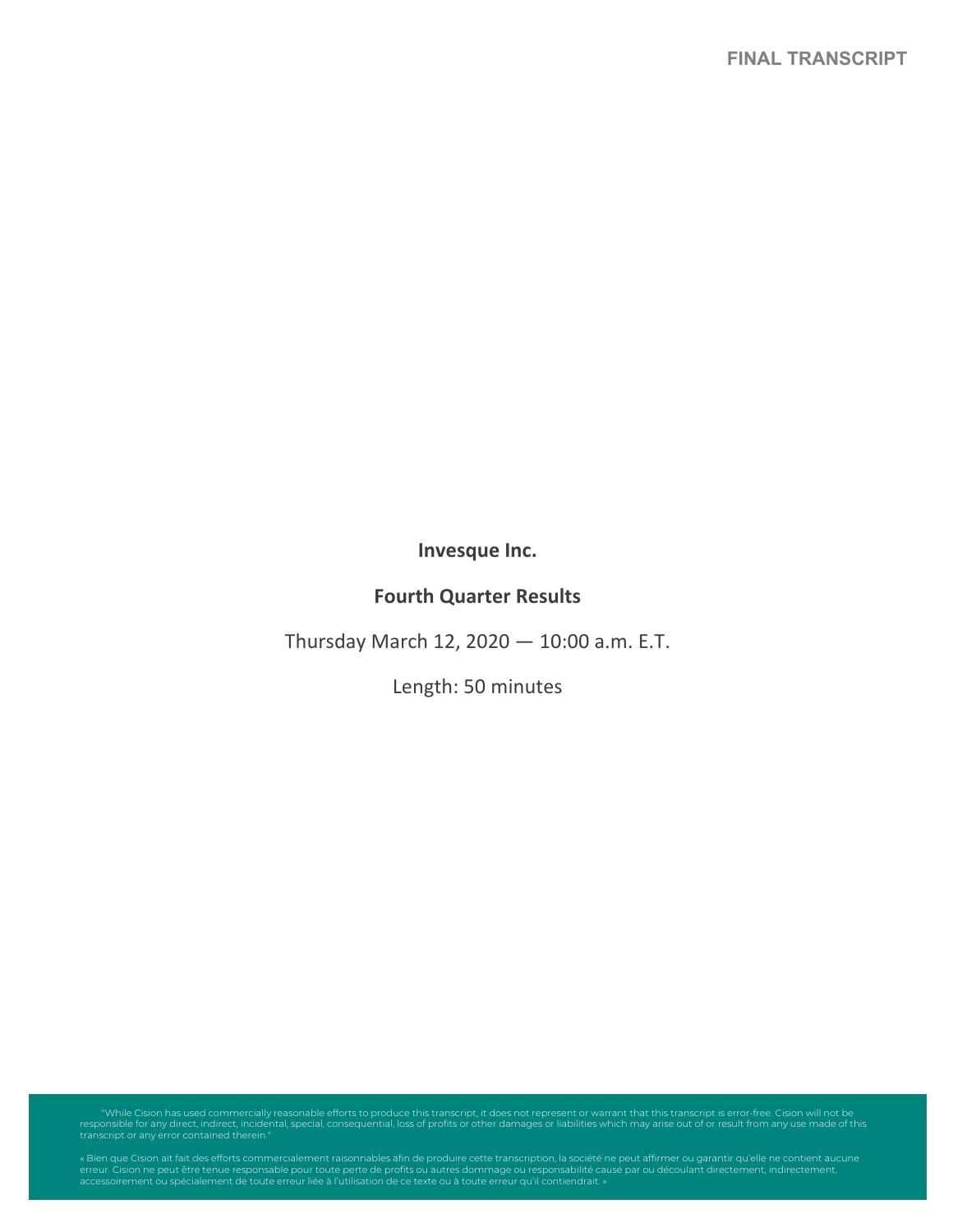**Invesque Inc.**

# **Fourth Quarter Results**

Thursday March 12, 2020 — 10:00 a.m. E.T.

Length: 50 minutes

"While Cision has used commercially reasonable efforts to produce this transcript, it does not represent or warrant that this transcript is error-free. Cision will not be<br>responsible for any direct, indirect, incidental, s

« Bien que Cision ait fait des efforts commercialement raisonnables afin de produire cette transcription, la société ne peut affirmer ou garantir qu'elle ne contient aucune<br>erreur. Cision ne peut être terue responsable pou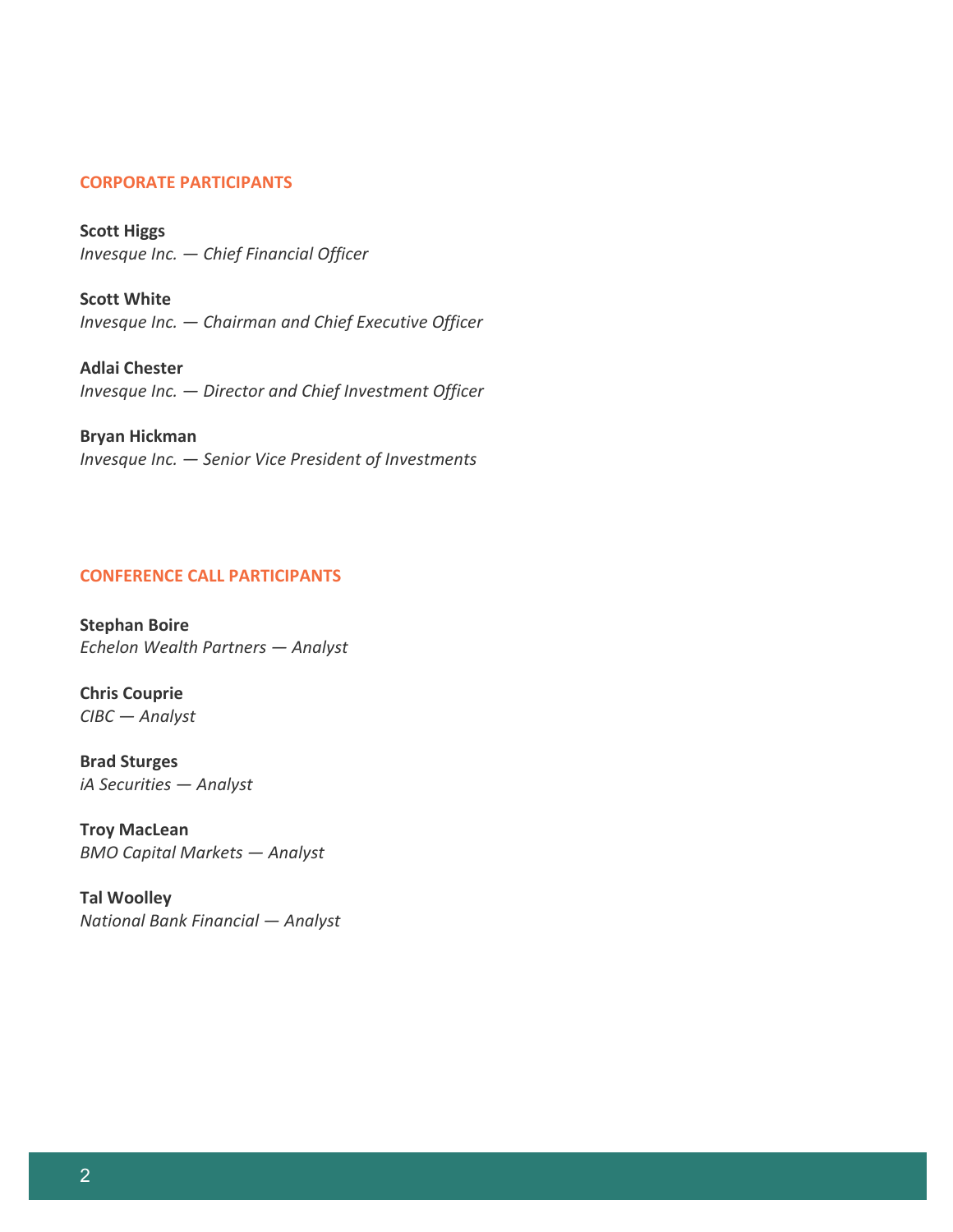# **CORPORATE PARTICIPANTS**

**Scott Higgs** *Invesque Inc. — Chief Financial Officer*

**Scott White** *Invesque Inc. — Chairman and Chief Executive Officer*

**Adlai Chester** *Invesque Inc. — Director and Chief Investment Officer*

# **Bryan Hickman**

*Invesque Inc. — Senior Vice President of Investments*

# **CONFERENCE CALL PARTICIPANTS**

**Stephan Boire** *Echelon Wealth Partners — Analyst*

**Chris Couprie** *CIBC — Analyst*

**Brad Sturges** *iA Securities — Analyst*

**Troy MacLean** *BMO Capital Markets — Analyst*

**Tal Woolley** *National Bank Financial — Analyst*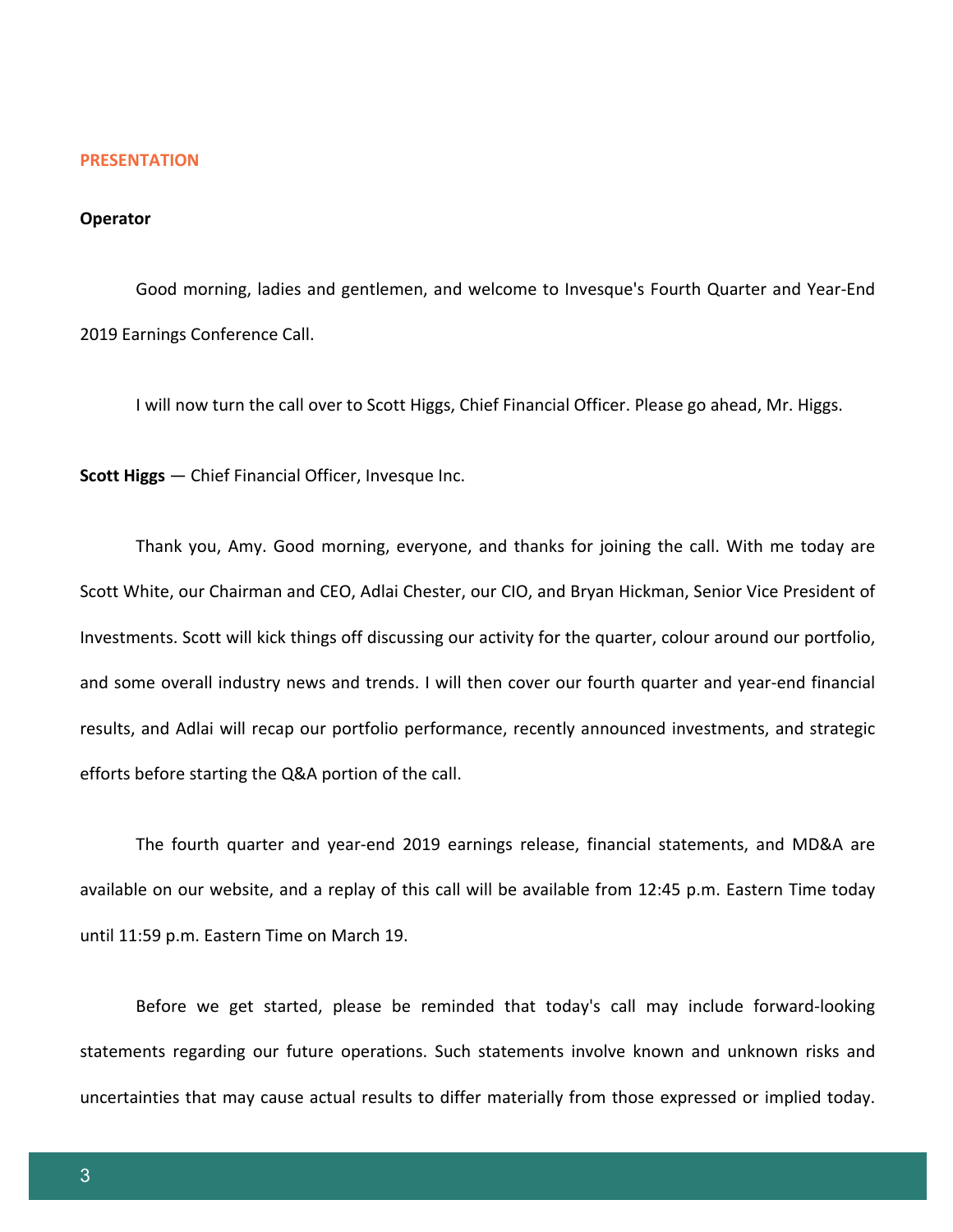#### **PRESENTATION**

#### **Operator**

Good morning, ladies and gentlemen, and welcome to Invesque's Fourth Quarter and Year-End 2019 Earnings Conference Call.

I will now turn the call over to Scott Higgs, Chief Financial Officer. Please go ahead, Mr. Higgs.

**Scott Higgs** — Chief Financial Officer, Invesque Inc.

Thank you, Amy. Good morning, everyone, and thanks for joining the call. With me today are Scott White, our Chairman and CEO, Adlai Chester, our CIO, and Bryan Hickman, Senior Vice President of Investments. Scott will kick things off discussing our activity for the quarter, colour around our portfolio, and some overall industry news and trends. I will then cover our fourth quarter and year-end financial results, and Adlai will recap our portfolio performance, recently announced investments, and strategic efforts before starting the Q&A portion of the call.

The fourth quarter and year-end 2019 earnings release, financial statements, and MD&A are available on our website, and a replay of this call will be available from 12:45 p.m. Eastern Time today until 11:59 p.m. Eastern Time on March 19.

Before we get started, please be reminded that today's call may include forward-looking statements regarding our future operations. Such statements involve known and unknown risks and uncertainties that may cause actual results to differ materially from those expressed or implied today.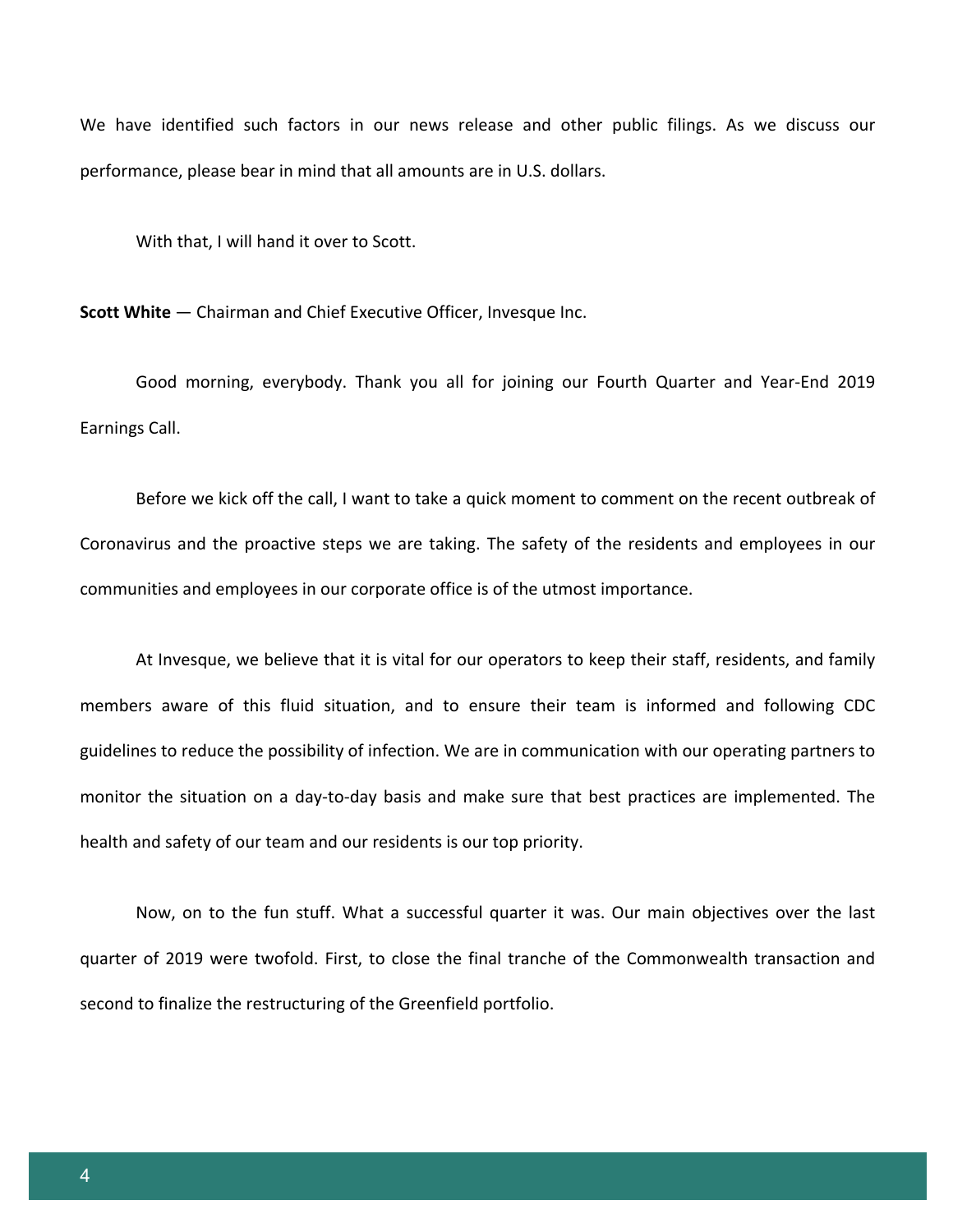We have identified such factors in our news release and other public filings. As we discuss our performance, please bear in mind that all amounts are in U.S. dollars.

With that, I will hand it over to Scott.

**Scott White** — Chairman and Chief Executive Officer, Invesque Inc.

Good morning, everybody. Thank you all for joining our Fourth Quarter and Year-End 2019 Earnings Call.

Before we kick off the call, I want to take a quick moment to comment on the recent outbreak of Coronavirus and the proactive steps we are taking. The safety of the residents and employees in our communities and employees in our corporate office is of the utmost importance.

At Invesque, we believe that it is vital for our operators to keep their staff, residents, and family members aware of this fluid situation, and to ensure their team is informed and following CDC guidelines to reduce the possibility of infection. We are in communication with our operating partners to monitor the situation on a day-to-day basis and make sure that best practices are implemented. The health and safety of our team and our residents is our top priority.

Now, on to the fun stuff. What a successful quarter it was. Our main objectives over the last quarter of 2019 were twofold. First, to close the final tranche of the Commonwealth transaction and second to finalize the restructuring of the Greenfield portfolio.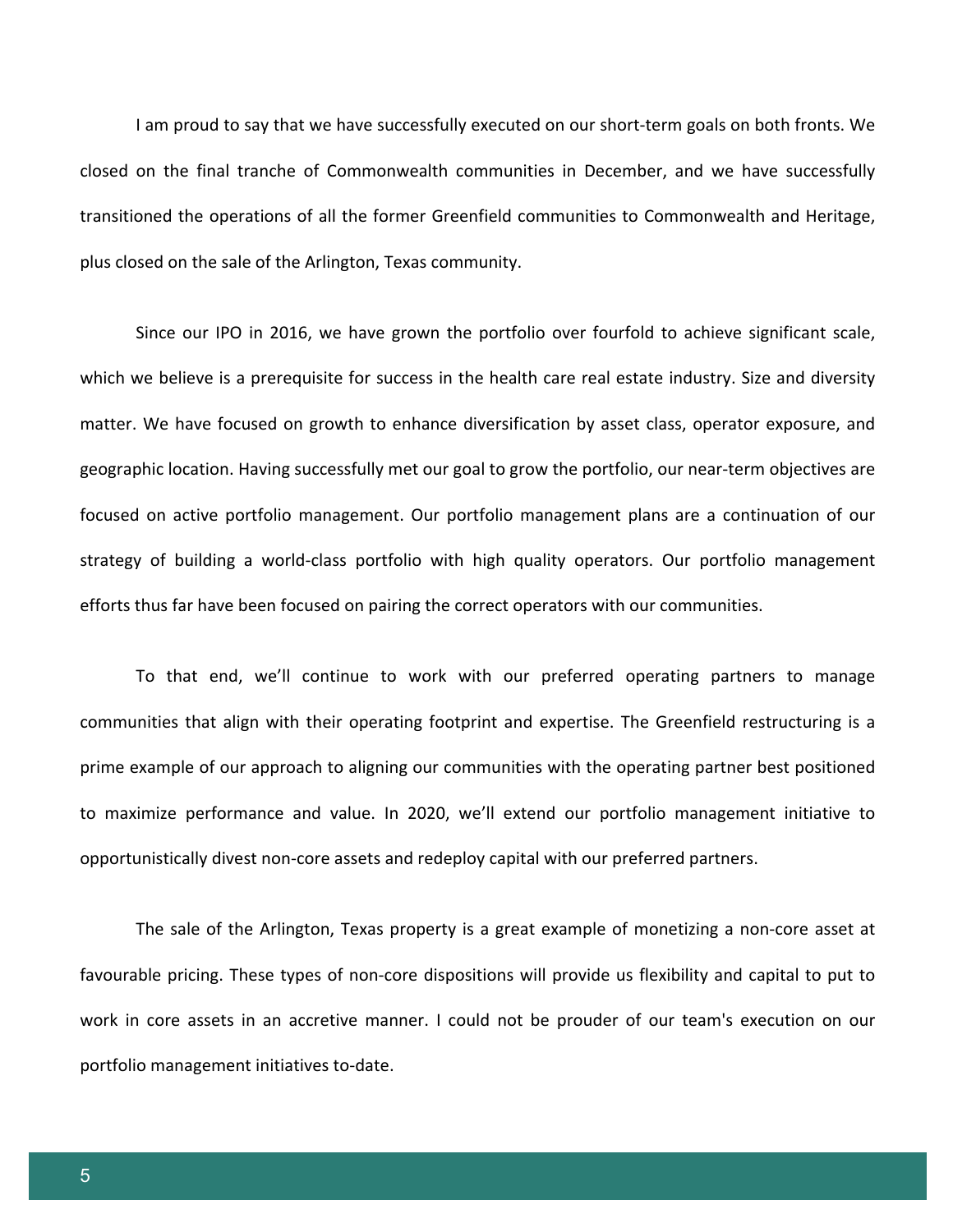I am proud to say that we have successfully executed on our short-term goals on both fronts. We closed on the final tranche of Commonwealth communities in December, and we have successfully transitioned the operations of all the former Greenfield communities to Commonwealth and Heritage, plus closed on the sale of the Arlington, Texas community.

Since our IPO in 2016, we have grown the portfolio over fourfold to achieve significant scale, which we believe is a prerequisite for success in the health care real estate industry. Size and diversity matter. We have focused on growth to enhance diversification by asset class, operator exposure, and geographic location. Having successfully met our goal to grow the portfolio, our near-term objectives are focused on active portfolio management. Our portfolio management plans are a continuation of our strategy of building a world-class portfolio with high quality operators. Our portfolio management efforts thus far have been focused on pairing the correct operators with our communities.

To that end, we'll continue to work with our preferred operating partners to manage communities that align with their operating footprint and expertise. The Greenfield restructuring is a prime example of our approach to aligning our communities with the operating partner best positioned to maximize performance and value. In 2020, we'll extend our portfolio management initiative to opportunistically divest non-core assets and redeploy capital with our preferred partners.

The sale of the Arlington, Texas property is a great example of monetizing a non-core asset at favourable pricing. These types of non-core dispositions will provide us flexibility and capital to put to work in core assets in an accretive manner. I could not be prouder of our team's execution on our portfolio management initiatives to-date.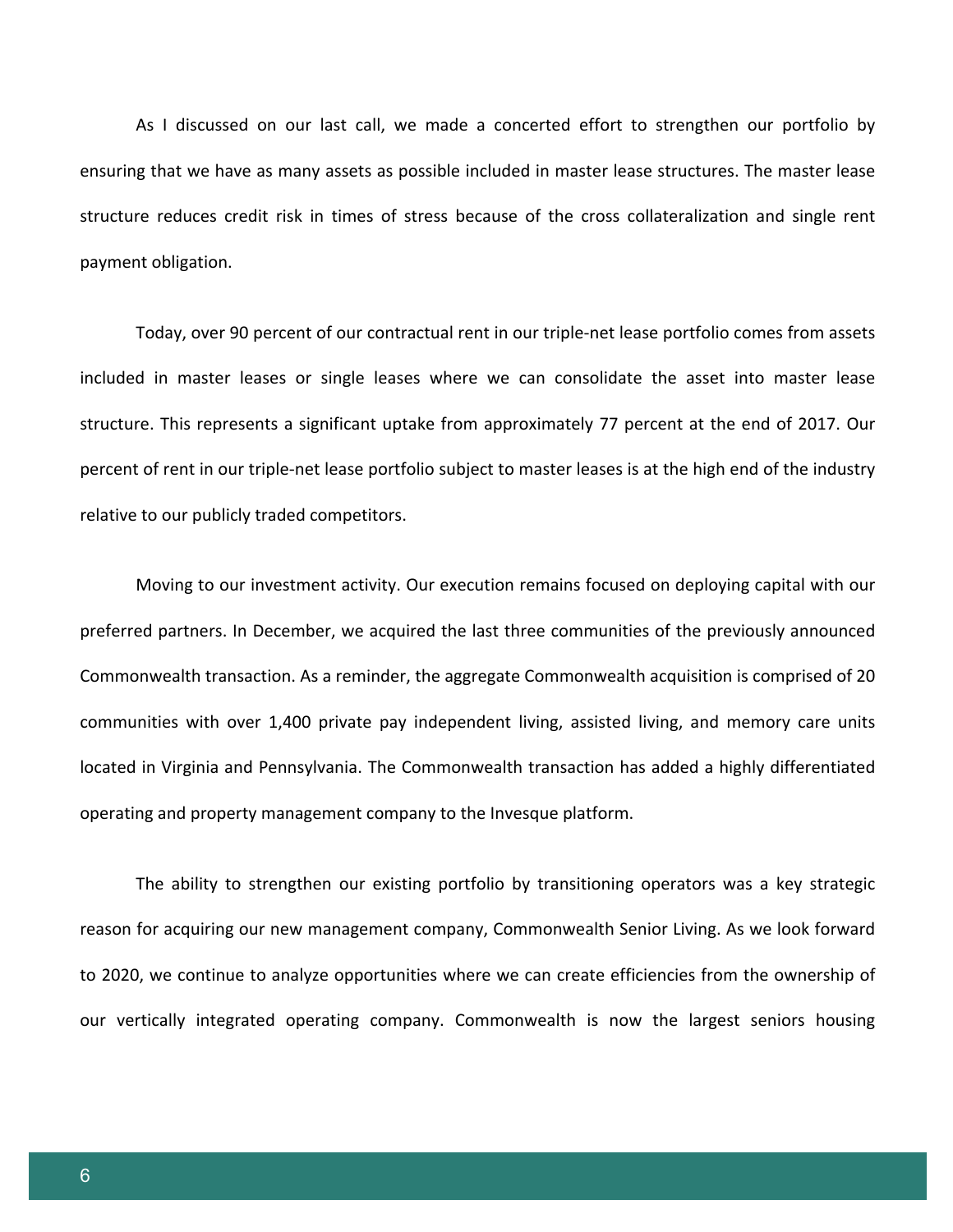As I discussed on our last call, we made a concerted effort to strengthen our portfolio by ensuring that we have as many assets as possible included in master lease structures. The master lease structure reduces credit risk in times of stress because of the cross collateralization and single rent payment obligation.

Today, over 90 percent of our contractual rent in our triple-net lease portfolio comes from assets included in master leases or single leases where we can consolidate the asset into master lease structure. This represents a significant uptake from approximately 77 percent at the end of 2017. Our percent of rent in our triple-net lease portfolio subject to master leases is at the high end of the industry relative to our publicly traded competitors.

Moving to our investment activity. Our execution remains focused on deploying capital with our preferred partners. In December, we acquired the last three communities of the previously announced Commonwealth transaction. As a reminder, the aggregate Commonwealth acquisition is comprised of 20 communities with over 1,400 private pay independent living, assisted living, and memory care units located in Virginia and Pennsylvania. The Commonwealth transaction has added a highly differentiated operating and property management company to the Invesque platform.

The ability to strengthen our existing portfolio by transitioning operators was a key strategic reason for acquiring our new management company, Commonwealth Senior Living. As we look forward to 2020, we continue to analyze opportunities where we can create efficiencies from the ownership of our vertically integrated operating company. Commonwealth is now the largest seniors housing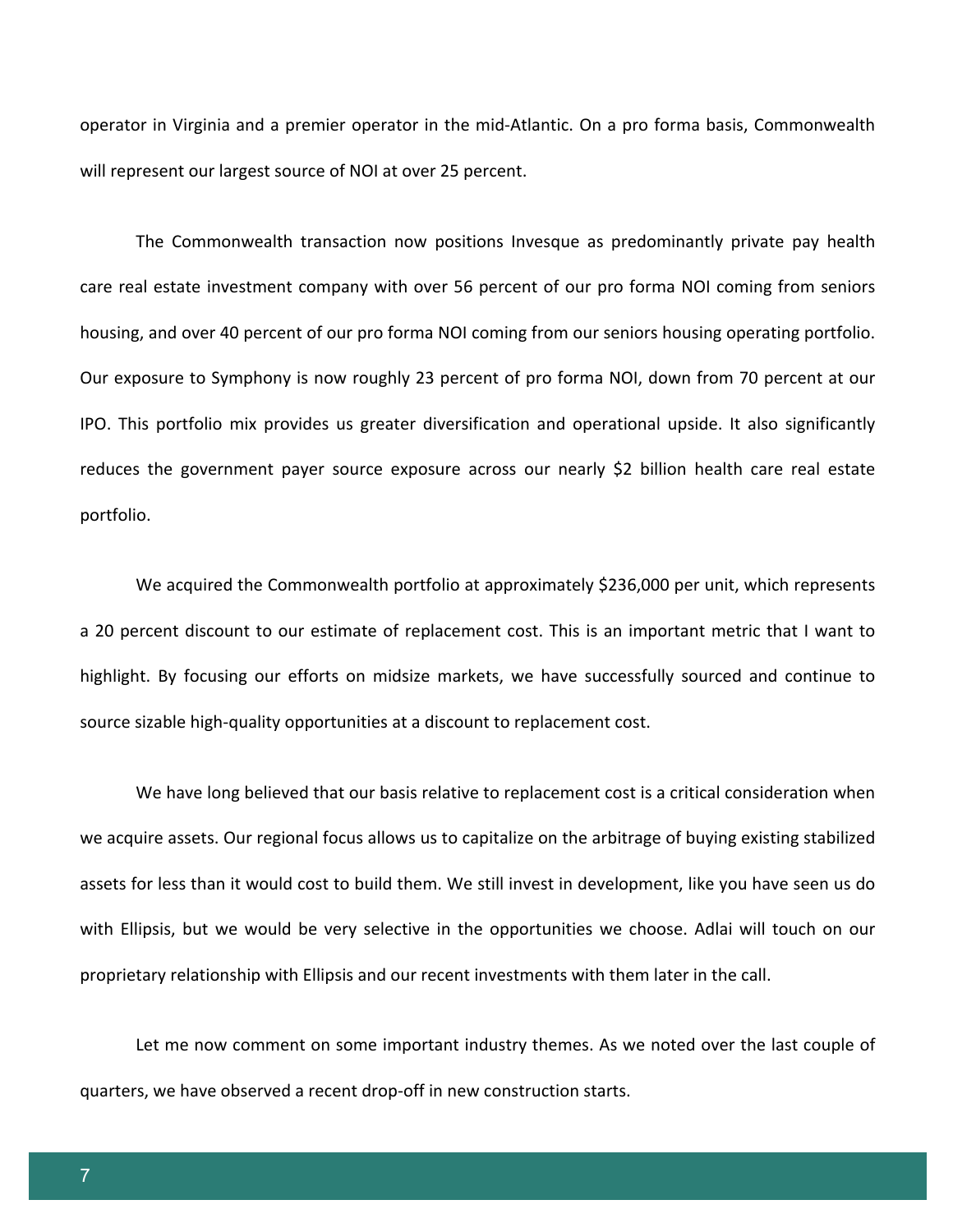operator in Virginia and a premier operator in the mid-Atlantic. On a pro forma basis, Commonwealth will represent our largest source of NOI at over 25 percent.

The Commonwealth transaction now positions Invesque as predominantly private pay health care real estate investment company with over 56 percent of our pro forma NOI coming from seniors housing, and over 40 percent of our pro forma NOI coming from our seniors housing operating portfolio. Our exposure to Symphony is now roughly 23 percent of pro forma NOI, down from 70 percent at our IPO. This portfolio mix provides us greater diversification and operational upside. It also significantly reduces the government payer source exposure across our nearly \$2 billion health care real estate portfolio.

We acquired the Commonwealth portfolio at approximately \$236,000 per unit, which represents a 20 percent discount to our estimate of replacement cost. This is an important metric that I want to highlight. By focusing our efforts on midsize markets, we have successfully sourced and continue to source sizable high-quality opportunities at a discount to replacement cost.

We have long believed that our basis relative to replacement cost is a critical consideration when we acquire assets. Our regional focus allows us to capitalize on the arbitrage of buying existing stabilized assets for less than it would cost to build them. We still invest in development, like you have seen us do with Ellipsis, but we would be very selective in the opportunities we choose. Adlai will touch on our proprietary relationship with Ellipsis and our recent investments with them later in the call.

Let me now comment on some important industry themes. As we noted over the last couple of quarters, we have observed a recent drop-off in new construction starts.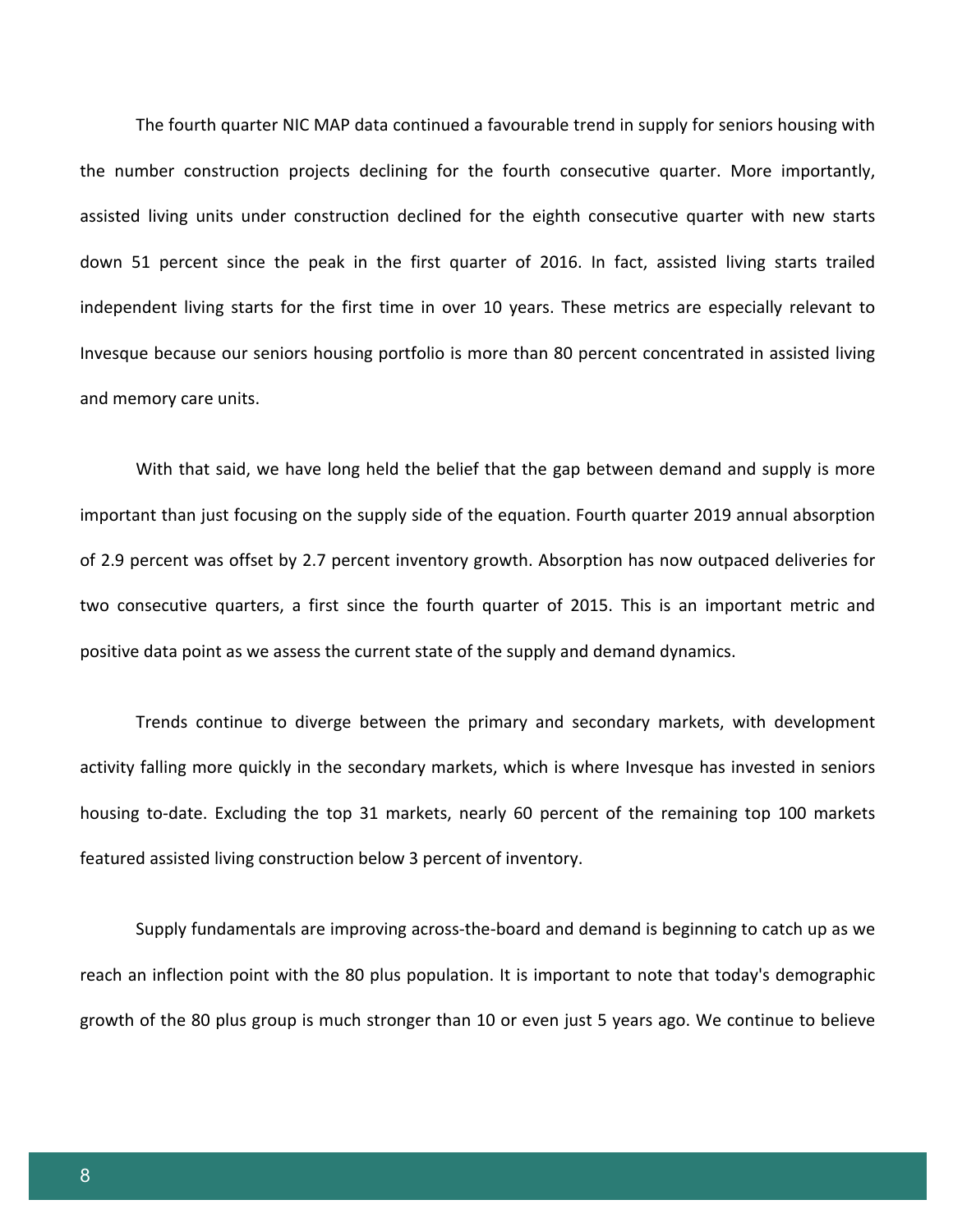The fourth quarter NIC MAP data continued a favourable trend in supply for seniors housing with the number construction projects declining for the fourth consecutive quarter. More importantly, assisted living units under construction declined for the eighth consecutive quarter with new starts down 51 percent since the peak in the first quarter of 2016. In fact, assisted living starts trailed independent living starts for the first time in over 10 years. These metrics are especially relevant to Invesque because our seniors housing portfolio is more than 80 percent concentrated in assisted living and memory care units.

With that said, we have long held the belief that the gap between demand and supply is more important than just focusing on the supply side of the equation. Fourth quarter 2019 annual absorption of 2.9 percent was offset by 2.7 percent inventory growth. Absorption has now outpaced deliveries for two consecutive quarters, a first since the fourth quarter of 2015. This is an important metric and positive data point as we assess the current state of the supply and demand dynamics.

Trends continue to diverge between the primary and secondary markets, with development activity falling more quickly in the secondary markets, which is where Invesque has invested in seniors housing to-date. Excluding the top 31 markets, nearly 60 percent of the remaining top 100 markets featured assisted living construction below 3 percent of inventory.

Supply fundamentals are improving across-the-board and demand is beginning to catch up as we reach an inflection point with the 80 plus population. It is important to note that today's demographic growth of the 80 plus group is much stronger than 10 or even just 5 years ago. We continue to believe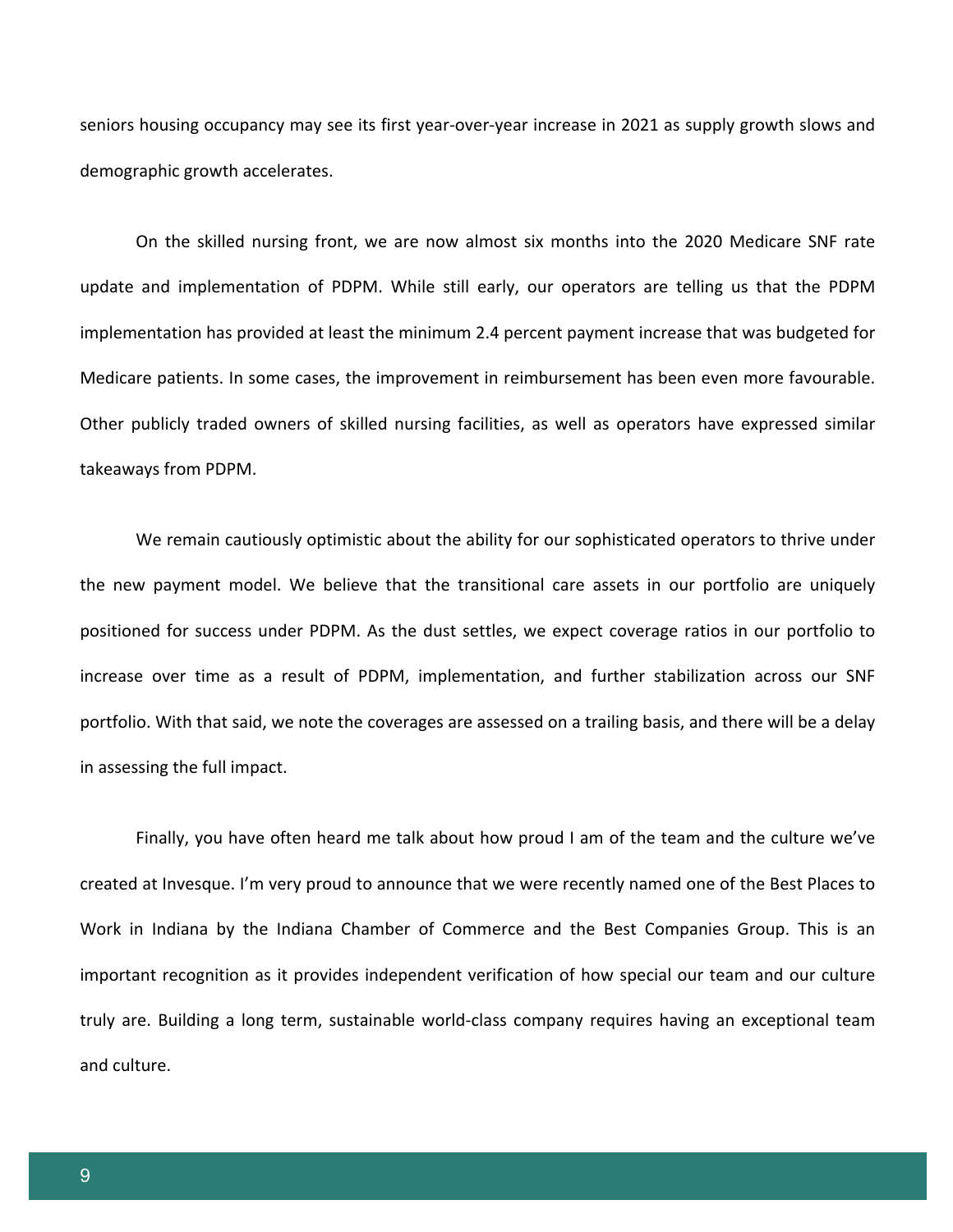seniors housing occupancy may see its first year-over-year increase in 2021 as supply growth slows and demographic growth accelerates.

On the skilled nursing front, we are now almost six months into the 2020 Medicare SNF rate update and implementation of PDPM. While still early, our operators are telling us that the PDPM implementation has provided at least the minimum 2.4 percent payment increase that was budgeted for Medicare patients. In some cases, the improvement in reimbursement has been even more favourable. Other publicly traded owners of skilled nursing facilities, as well as operators have expressed similar takeaways from PDPM.

We remain cautiously optimistic about the ability for our sophisticated operators to thrive under the new payment model. We believe that the transitional care assets in our portfolio are uniquely positioned for success under PDPM. As the dust settles, we expect coverage ratios in our portfolio to increase over time as a result of PDPM, implementation, and further stabilization across our SNF portfolio. With that said, we note the coverages are assessed on a trailing basis, and there will be a delay in assessing the full impact.

Finally, you have often heard me talk about how proud I am of the team and the culture we've created at Invesque. I'm very proud to announce that we were recently named one of the Best Places to Work in Indiana by the Indiana Chamber of Commerce and the Best Companies Group. This is an important recognition as it provides independent verification of how special our team and our culture truly are. Building a long term, sustainable world-class company requires having an exceptional team and culture.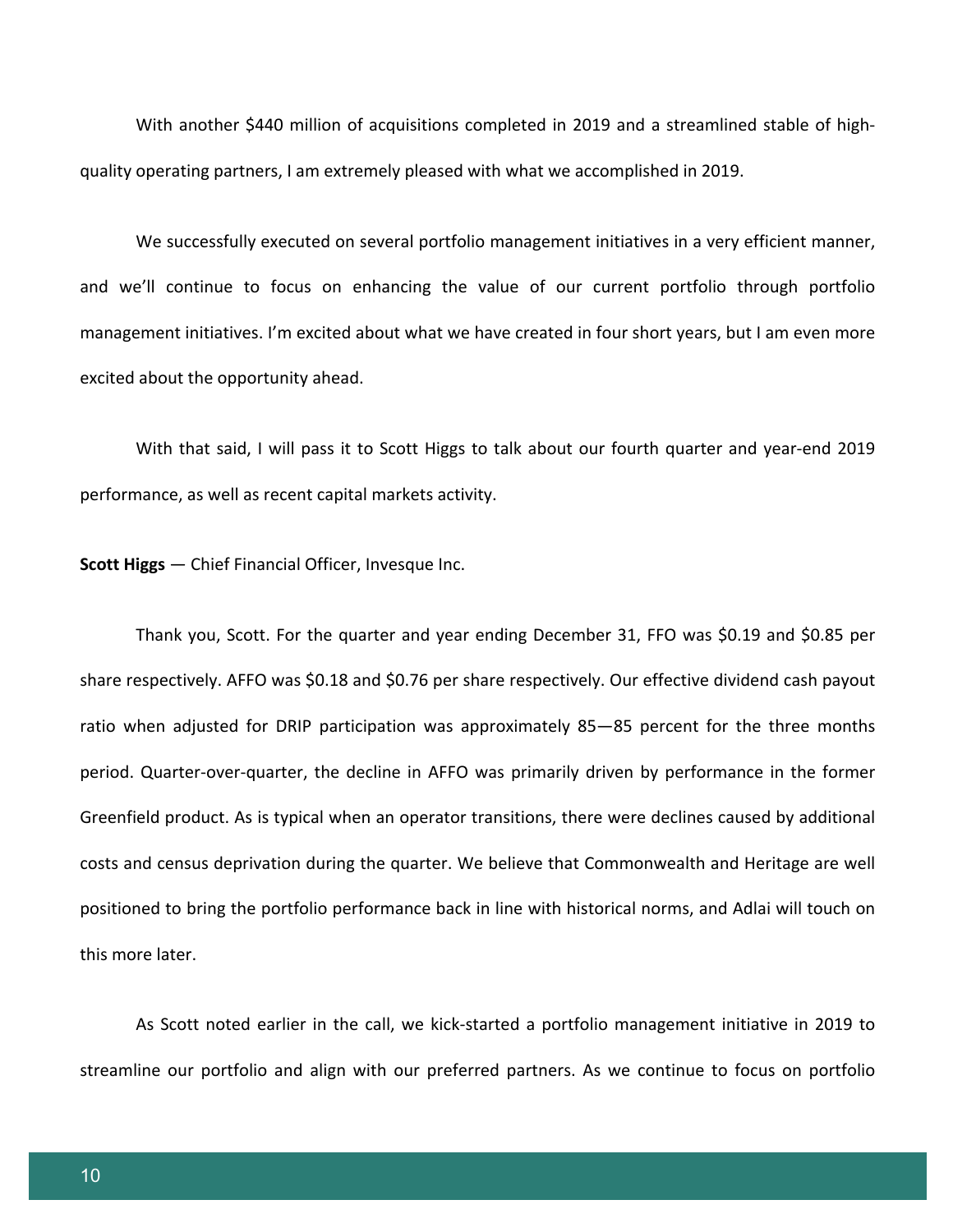With another \$440 million of acquisitions completed in 2019 and a streamlined stable of highquality operating partners, I am extremely pleased with what we accomplished in 2019.

We successfully executed on several portfolio management initiatives in a very efficient manner, and we'll continue to focus on enhancing the value of our current portfolio through portfolio management initiatives. I'm excited about what we have created in four short years, but I am even more excited about the opportunity ahead.

With that said, I will pass it to Scott Higgs to talk about our fourth quarter and year-end 2019 performance, as well as recent capital markets activity.

**Scott Higgs** — Chief Financial Officer, Invesque Inc.

Thank you, Scott. For the quarter and year ending December 31, FFO was \$0.19 and \$0.85 per share respectively. AFFO was \$0.18 and \$0.76 per share respectively. Our effective dividend cash payout ratio when adjusted for DRIP participation was approximately 85—85 percent for the three months period. Quarter-over-quarter, the decline in AFFO was primarily driven by performance in the former Greenfield product. As is typical when an operator transitions, there were declines caused by additional costs and census deprivation during the quarter. We believe that Commonwealth and Heritage are well positioned to bring the portfolio performance back in line with historical norms, and Adlai will touch on this more later.

As Scott noted earlier in the call, we kick-started a portfolio management initiative in 2019 to streamline our portfolio and align with our preferred partners. As we continue to focus on portfolio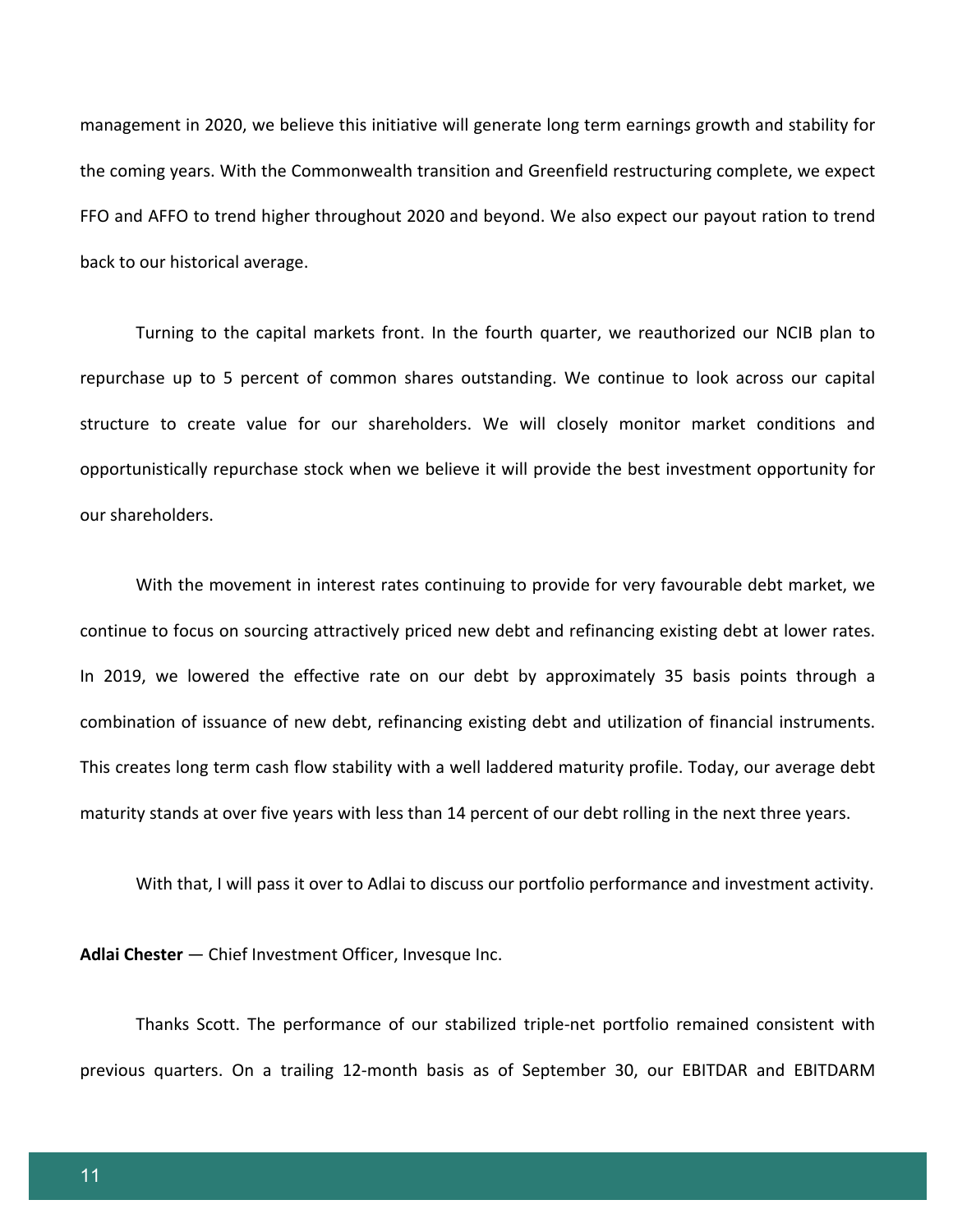management in 2020, we believe this initiative will generate long term earnings growth and stability for the coming years. With the Commonwealth transition and Greenfield restructuring complete, we expect FFO and AFFO to trend higher throughout 2020 and beyond. We also expect our payout ration to trend back to our historical average.

Turning to the capital markets front. In the fourth quarter, we reauthorized our NCIB plan to repurchase up to 5 percent of common shares outstanding. We continue to look across our capital structure to create value for our shareholders. We will closely monitor market conditions and opportunistically repurchase stock when we believe it will provide the best investment opportunity for our shareholders.

With the movement in interest rates continuing to provide for very favourable debt market, we continue to focus on sourcing attractively priced new debt and refinancing existing debt at lower rates. In 2019, we lowered the effective rate on our debt by approximately 35 basis points through a combination of issuance of new debt, refinancing existing debt and utilization of financial instruments. This creates long term cash flow stability with a well laddered maturity profile. Today, our average debt maturity stands at over five years with less than 14 percent of our debt rolling in the next three years.

With that, I will pass it over to Adlai to discuss our portfolio performance and investment activity.

**Adlai Chester** — Chief Investment Officer, Invesque Inc.

Thanks Scott. The performance of our stabilized triple-net portfolio remained consistent with previous quarters. On a trailing 12-month basis as of September 30, our EBITDAR and EBITDARM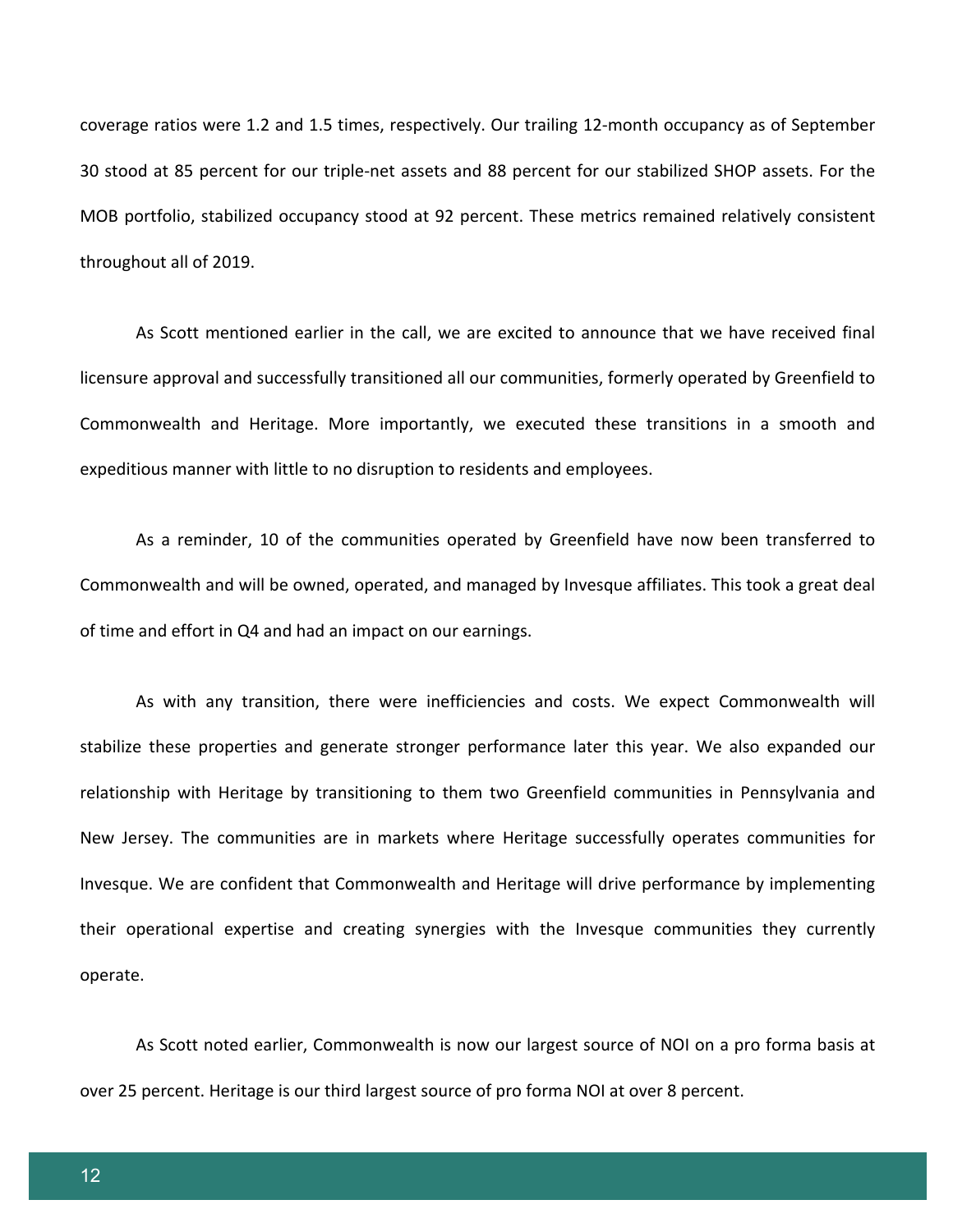coverage ratios were 1.2 and 1.5 times, respectively. Our trailing 12-month occupancy as of September 30 stood at 85 percent for our triple-net assets and 88 percent for our stabilized SHOP assets. For the MOB portfolio, stabilized occupancy stood at 92 percent. These metrics remained relatively consistent throughout all of 2019.

As Scott mentioned earlier in the call, we are excited to announce that we have received final licensure approval and successfully transitioned all our communities, formerly operated by Greenfield to Commonwealth and Heritage. More importantly, we executed these transitions in a smooth and expeditious manner with little to no disruption to residents and employees.

As a reminder, 10 of the communities operated by Greenfield have now been transferred to Commonwealth and will be owned, operated, and managed by Invesque affiliates. This took a great deal of time and effort in Q4 and had an impact on our earnings.

As with any transition, there were inefficiencies and costs. We expect Commonwealth will stabilize these properties and generate stronger performance later this year. We also expanded our relationship with Heritage by transitioning to them two Greenfield communities in Pennsylvania and New Jersey. The communities are in markets where Heritage successfully operates communities for Invesque. We are confident that Commonwealth and Heritage will drive performance by implementing their operational expertise and creating synergies with the Invesque communities they currently operate.

As Scott noted earlier, Commonwealth is now our largest source of NOI on a pro forma basis at over 25 percent. Heritage is our third largest source of pro forma NOI at over 8 percent.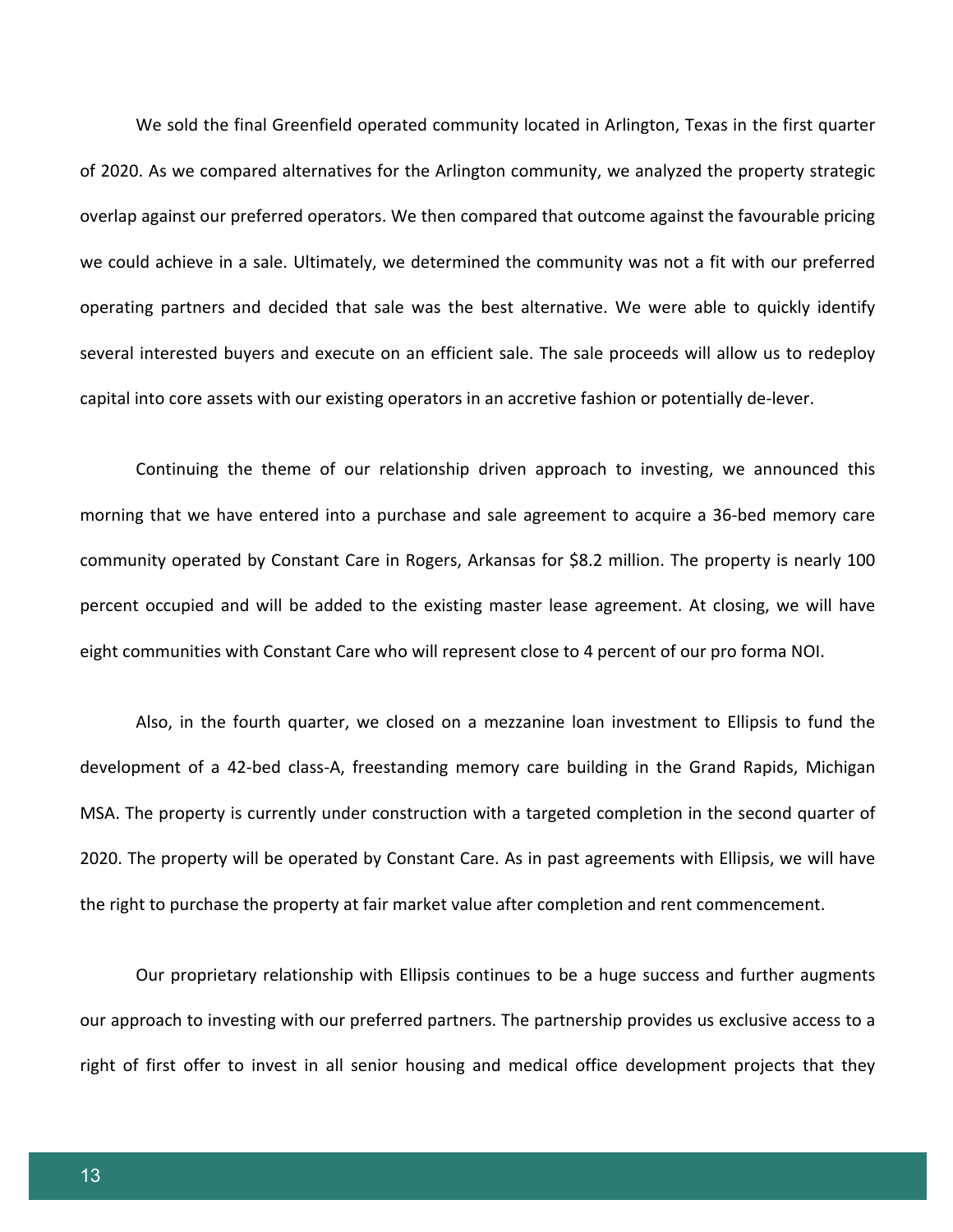We sold the final Greenfield operated community located in Arlington, Texas in the first quarter of 2020. As we compared alternatives for the Arlington community, we analyzed the property strategic overlap against our preferred operators. We then compared that outcome against the favourable pricing we could achieve in a sale. Ultimately, we determined the community was not a fit with our preferred operating partners and decided that sale was the best alternative. We were able to quickly identify several interested buyers and execute on an efficient sale. The sale proceeds will allow us to redeploy capital into core assets with our existing operators in an accretive fashion or potentially de-lever.

Continuing the theme of our relationship driven approach to investing, we announced this morning that we have entered into a purchase and sale agreement to acquire a 36-bed memory care community operated by Constant Care in Rogers, Arkansas for \$8.2 million. The property is nearly 100 percent occupied and will be added to the existing master lease agreement. At closing, we will have eight communities with Constant Care who will represent close to 4 percent of our pro forma NOI.

Also, in the fourth quarter, we closed on a mezzanine loan investment to Ellipsis to fund the development of a 42-bed class-A, freestanding memory care building in the Grand Rapids, Michigan MSA. The property is currently under construction with a targeted completion in the second quarter of 2020. The property will be operated by Constant Care. As in past agreements with Ellipsis, we will have the right to purchase the property at fair market value after completion and rent commencement.

Our proprietary relationship with Ellipsis continues to be a huge success and further augments our approach to investing with our preferred partners. The partnership provides us exclusive access to a right of first offer to invest in all senior housing and medical office development projects that they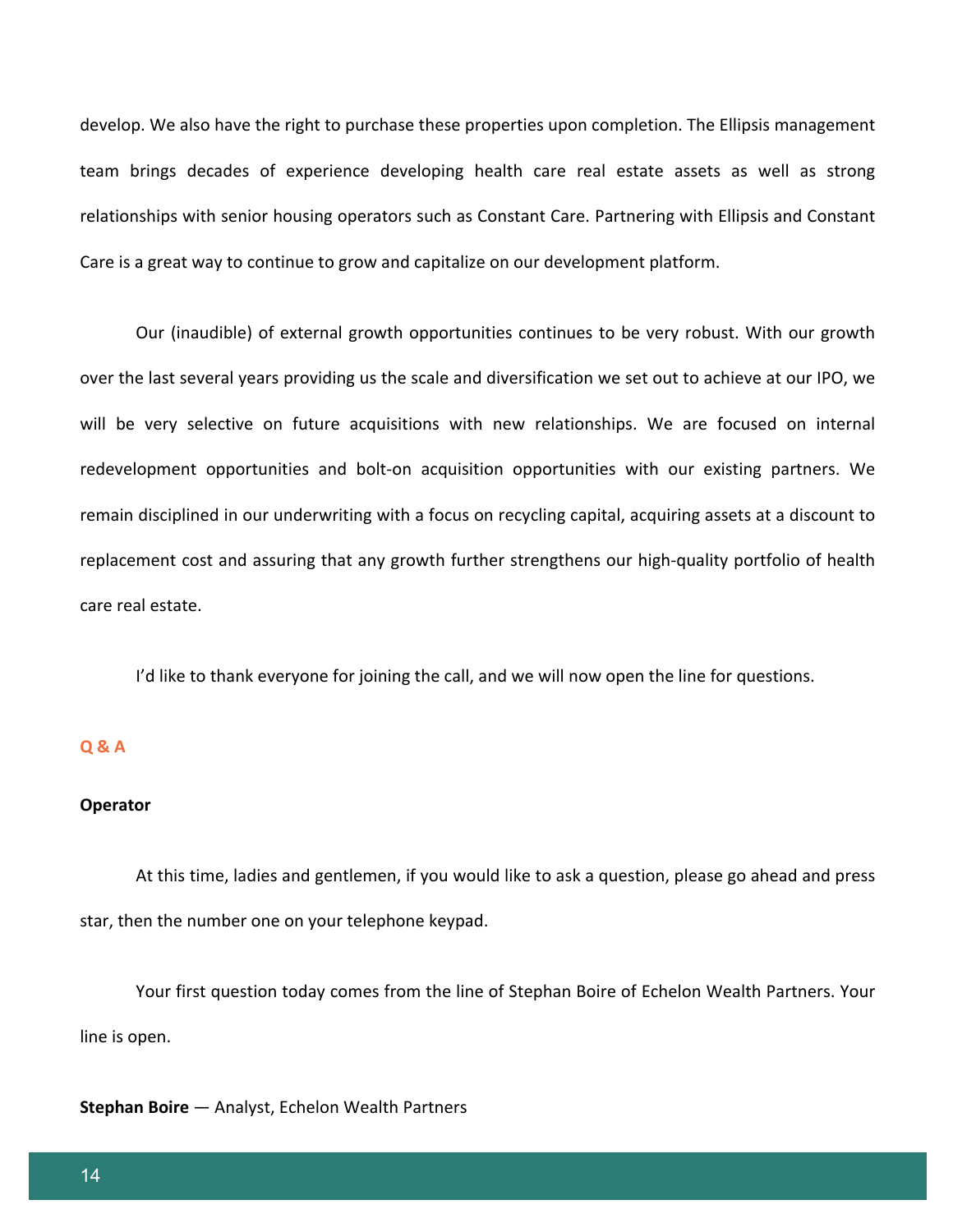develop. We also have the right to purchase these properties upon completion. The Ellipsis management team brings decades of experience developing health care real estate assets as well as strong relationships with senior housing operators such as Constant Care. Partnering with Ellipsis and Constant Care is a great way to continue to grow and capitalize on our development platform.

Our (inaudible) of external growth opportunities continues to be very robust. With our growth over the last several years providing us the scale and diversification we set out to achieve at our IPO, we will be very selective on future acquisitions with new relationships. We are focused on internal redevelopment opportunities and bolt-on acquisition opportunities with our existing partners. We remain disciplined in our underwriting with a focus on recycling capital, acquiring assets at a discount to replacement cost and assuring that any growth further strengthens our high-quality portfolio of health care real estate.

I'd like to thank everyone for joining the call, and we will now open the line for questions.

# **Q & A**

#### **Operator**

At this time, ladies and gentlemen, if you would like to ask a question, please go ahead and press star, then the number one on your telephone keypad.

Your first question today comes from the line of Stephan Boire of Echelon Wealth Partners. Your line is open.

**Stephan Boire** — Analyst, Echelon Wealth Partners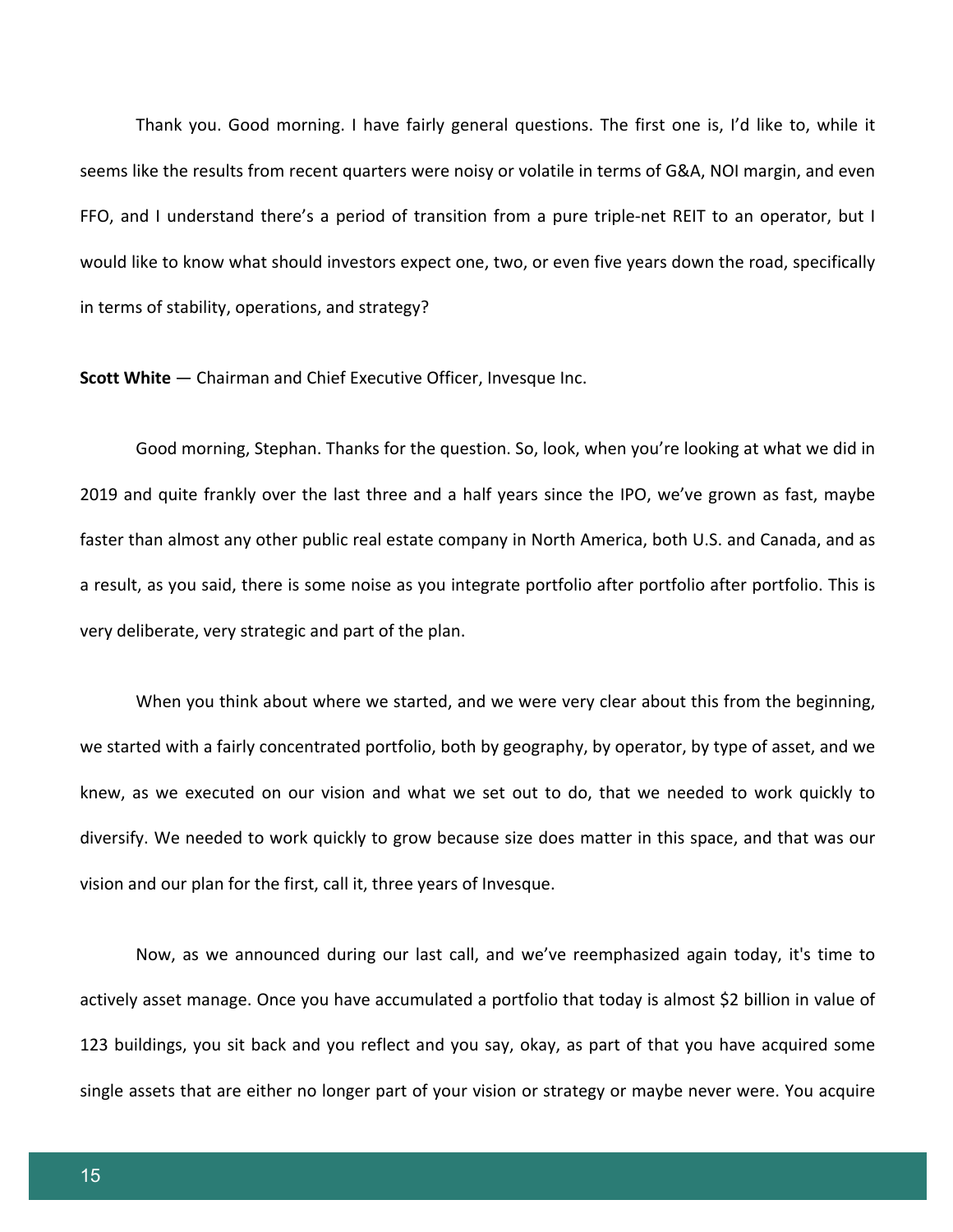Thank you. Good morning. I have fairly general questions. The first one is, I'd like to, while it seems like the results from recent quarters were noisy or volatile in terms of G&A, NOI margin, and even FFO, and I understand there's a period of transition from a pure triple-net REIT to an operator, but I would like to know what should investors expect one, two, or even five years down the road, specifically in terms of stability, operations, and strategy?

**Scott White** — Chairman and Chief Executive Officer, Invesque Inc.

Good morning, Stephan. Thanks for the question. So, look, when you're looking at what we did in 2019 and quite frankly over the last three and a half years since the IPO, we've grown as fast, maybe faster than almost any other public real estate company in North America, both U.S. and Canada, and as a result, as you said, there is some noise as you integrate portfolio after portfolio after portfolio. This is very deliberate, very strategic and part of the plan.

When you think about where we started, and we were very clear about this from the beginning, we started with a fairly concentrated portfolio, both by geography, by operator, by type of asset, and we knew, as we executed on our vision and what we set out to do, that we needed to work quickly to diversify. We needed to work quickly to grow because size does matter in this space, and that was our vision and our plan for the first, call it, three years of Invesque.

Now, as we announced during our last call, and we've reemphasized again today, it's time to actively asset manage. Once you have accumulated a portfolio that today is almost \$2 billion in value of 123 buildings, you sit back and you reflect and you say, okay, as part of that you have acquired some single assets that are either no longer part of your vision or strategy or maybe never were. You acquire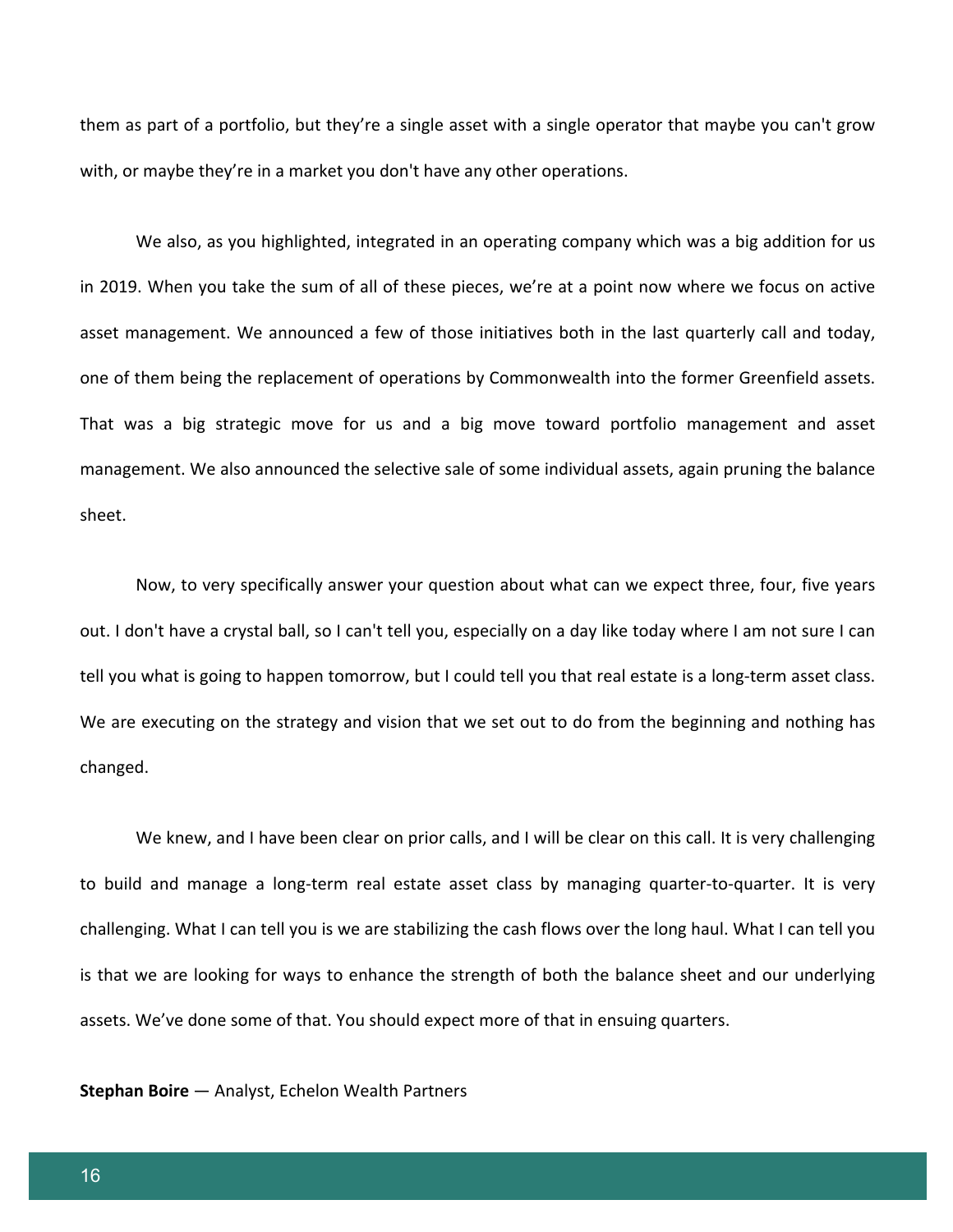them as part of a portfolio, but they're a single asset with a single operator that maybe you can't grow with, or maybe they're in a market you don't have any other operations.

We also, as you highlighted, integrated in an operating company which was a big addition for us in 2019. When you take the sum of all of these pieces, we're at a point now where we focus on active asset management. We announced a few of those initiatives both in the last quarterly call and today, one of them being the replacement of operations by Commonwealth into the former Greenfield assets. That was a big strategic move for us and a big move toward portfolio management and asset management. We also announced the selective sale of some individual assets, again pruning the balance sheet.

Now, to very specifically answer your question about what can we expect three, four, five years out. I don't have a crystal ball, so I can't tell you, especially on a day like today where I am not sure I can tell you what is going to happen tomorrow, but I could tell you that real estate is a long-term asset class. We are executing on the strategy and vision that we set out to do from the beginning and nothing has changed.

We knew, and I have been clear on prior calls, and I will be clear on this call. It is very challenging to build and manage a long-term real estate asset class by managing quarter-to-quarter. It is very challenging. What I can tell you is we are stabilizing the cash flows over the long haul. What I can tell you is that we are looking for ways to enhance the strength of both the balance sheet and our underlying assets. We've done some of that. You should expect more of that in ensuing quarters.

**Stephan Boire** — Analyst, Echelon Wealth Partners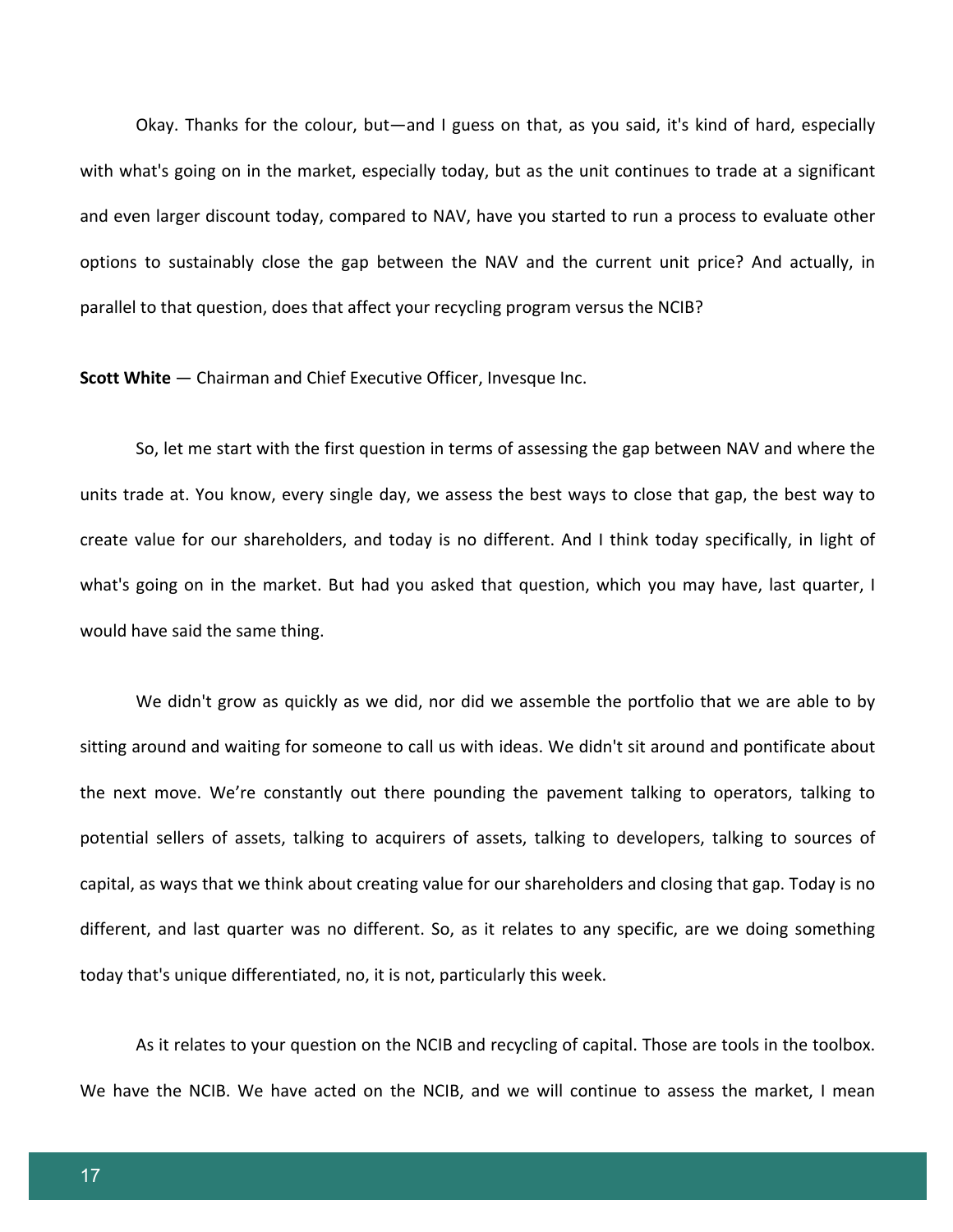Okay. Thanks for the colour, but—and I guess on that, as you said, it's kind of hard, especially with what's going on in the market, especially today, but as the unit continues to trade at a significant and even larger discount today, compared to NAV, have you started to run a process to evaluate other options to sustainably close the gap between the NAV and the current unit price? And actually, in parallel to that question, does that affect your recycling program versus the NCIB?

**Scott White** — Chairman and Chief Executive Officer, Invesque Inc.

So, let me start with the first question in terms of assessing the gap between NAV and where the units trade at. You know, every single day, we assess the best ways to close that gap, the best way to create value for our shareholders, and today is no different. And I think today specifically, in light of what's going on in the market. But had you asked that question, which you may have, last quarter, I would have said the same thing.

We didn't grow as quickly as we did, nor did we assemble the portfolio that we are able to by sitting around and waiting for someone to call us with ideas. We didn't sit around and pontificate about the next move. We're constantly out there pounding the pavement talking to operators, talking to potential sellers of assets, talking to acquirers of assets, talking to developers, talking to sources of capital, as ways that we think about creating value for our shareholders and closing that gap. Today is no different, and last quarter was no different. So, as it relates to any specific, are we doing something today that's unique differentiated, no, it is not, particularly this week.

As it relates to your question on the NCIB and recycling of capital. Those are tools in the toolbox. We have the NCIB. We have acted on the NCIB, and we will continue to assess the market, I mean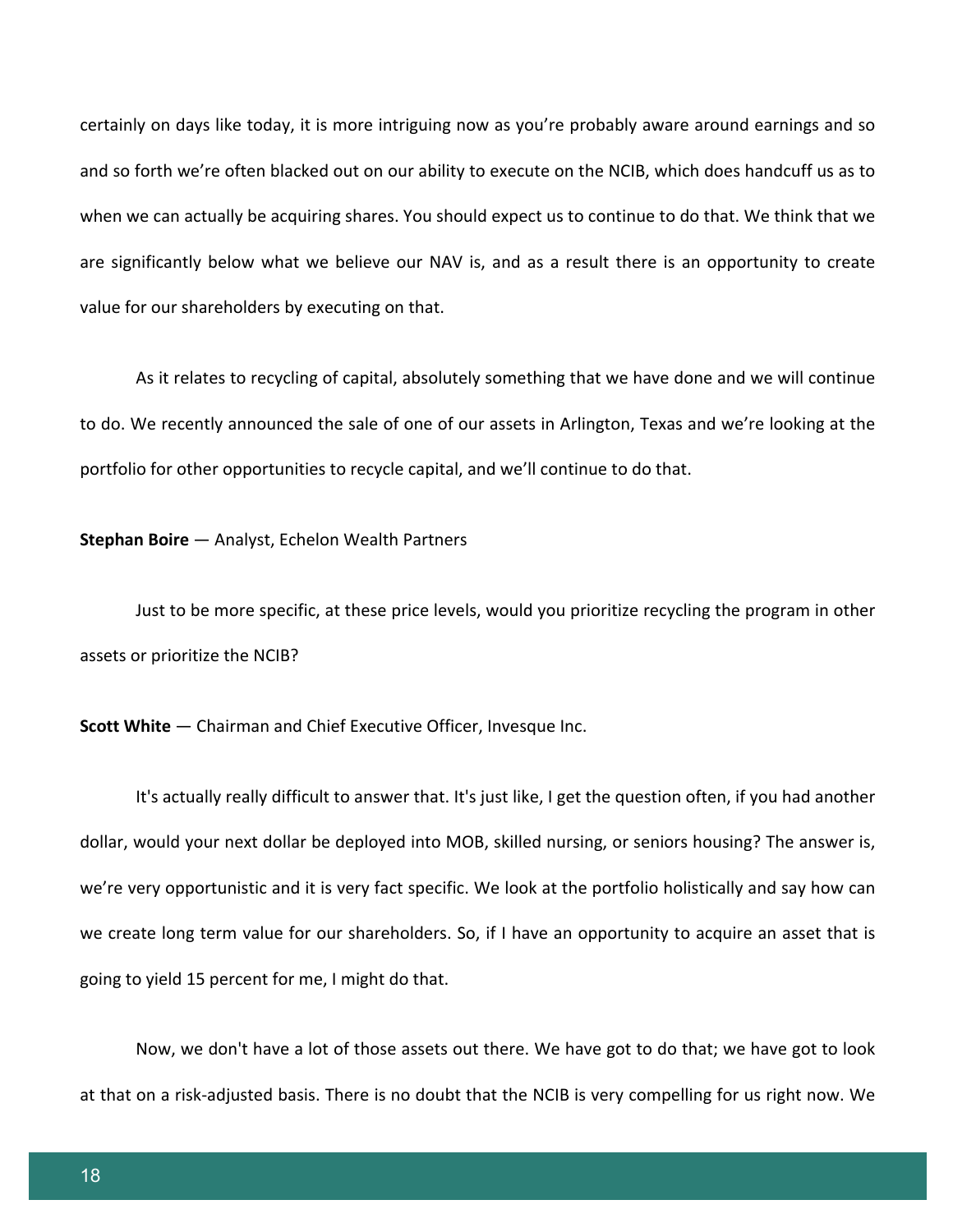certainly on days like today, it is more intriguing now as you're probably aware around earnings and so and so forth we're often blacked out on our ability to execute on the NCIB, which does handcuff us as to when we can actually be acquiring shares. You should expect us to continue to do that. We think that we are significantly below what we believe our NAV is, and as a result there is an opportunity to create value for our shareholders by executing on that.

As it relates to recycling of capital, absolutely something that we have done and we will continue to do. We recently announced the sale of one of our assets in Arlington, Texas and we're looking at the portfolio for other opportunities to recycle capital, and we'll continue to do that.

#### **Stephan Boire** — Analyst, Echelon Wealth Partners

Just to be more specific, at these price levels, would you prioritize recycling the program in other assets or prioritize the NCIB?

**Scott White** — Chairman and Chief Executive Officer, Invesque Inc.

It's actually really difficult to answer that. It's just like, I get the question often, if you had another dollar, would your next dollar be deployed into MOB, skilled nursing, or seniors housing? The answer is, we're very opportunistic and it is very fact specific. We look at the portfolio holistically and say how can we create long term value for our shareholders. So, if I have an opportunity to acquire an asset that is going to yield 15 percent for me, I might do that.

Now, we don't have a lot of those assets out there. We have got to do that; we have got to look at that on a risk-adjusted basis. There is no doubt that the NCIB is very compelling for us right now. We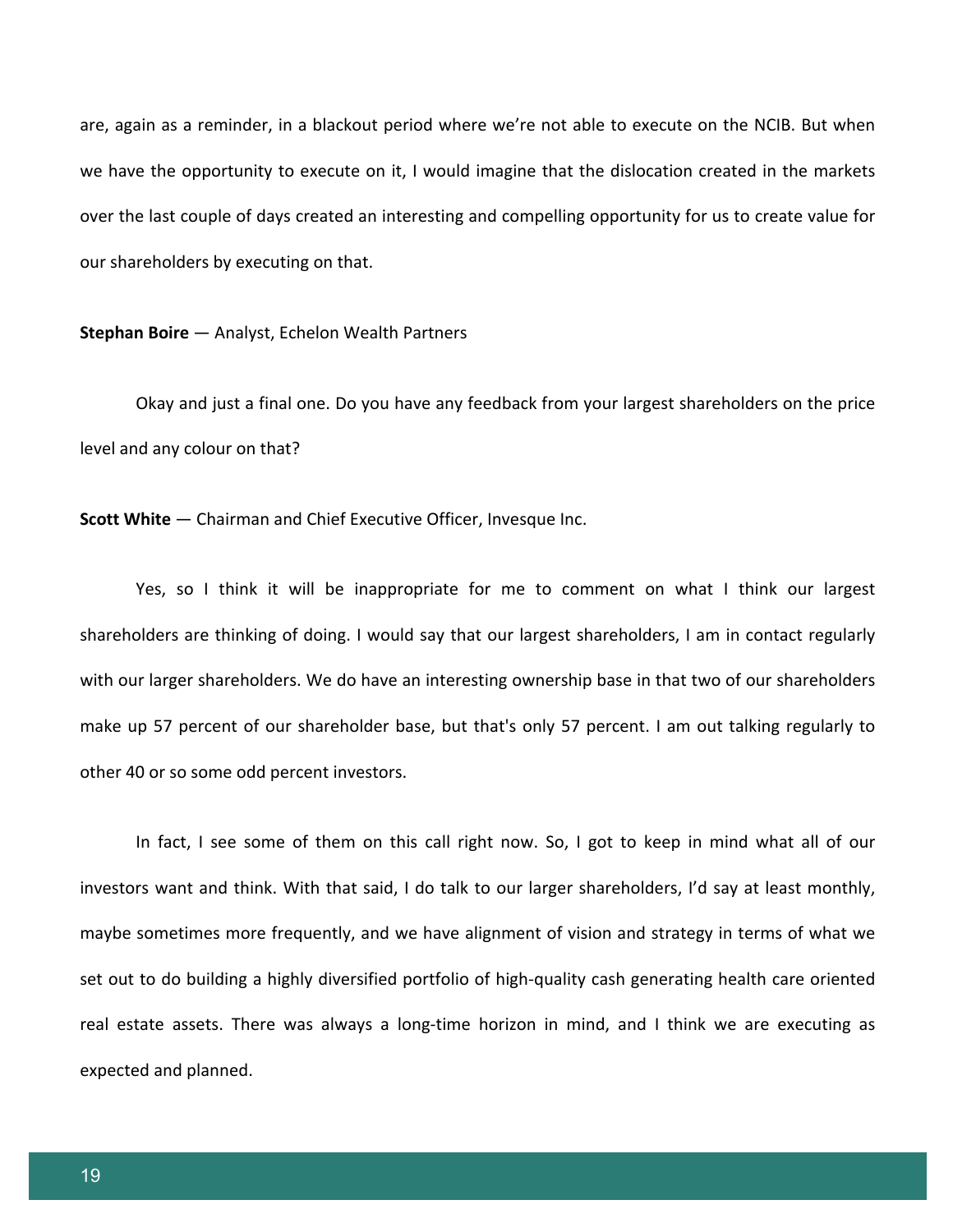are, again as a reminder, in a blackout period where we're not able to execute on the NCIB. But when we have the opportunity to execute on it, I would imagine that the dislocation created in the markets over the last couple of days created an interesting and compelling opportunity for us to create value for our shareholders by executing on that.

**Stephan Boire** — Analyst, Echelon Wealth Partners

Okay and just a final one. Do you have any feedback from your largest shareholders on the price level and any colour on that?

**Scott White** — Chairman and Chief Executive Officer, Invesque Inc.

Yes, so I think it will be inappropriate for me to comment on what I think our largest shareholders are thinking of doing. I would say that our largest shareholders, I am in contact regularly with our larger shareholders. We do have an interesting ownership base in that two of our shareholders make up 57 percent of our shareholder base, but that's only 57 percent. I am out talking regularly to other 40 or so some odd percent investors.

In fact, I see some of them on this call right now. So, I got to keep in mind what all of our investors want and think. With that said, I do talk to our larger shareholders, I'd say at least monthly, maybe sometimes more frequently, and we have alignment of vision and strategy in terms of what we set out to do building a highly diversified portfolio of high-quality cash generating health care oriented real estate assets. There was always a long-time horizon in mind, and I think we are executing as expected and planned.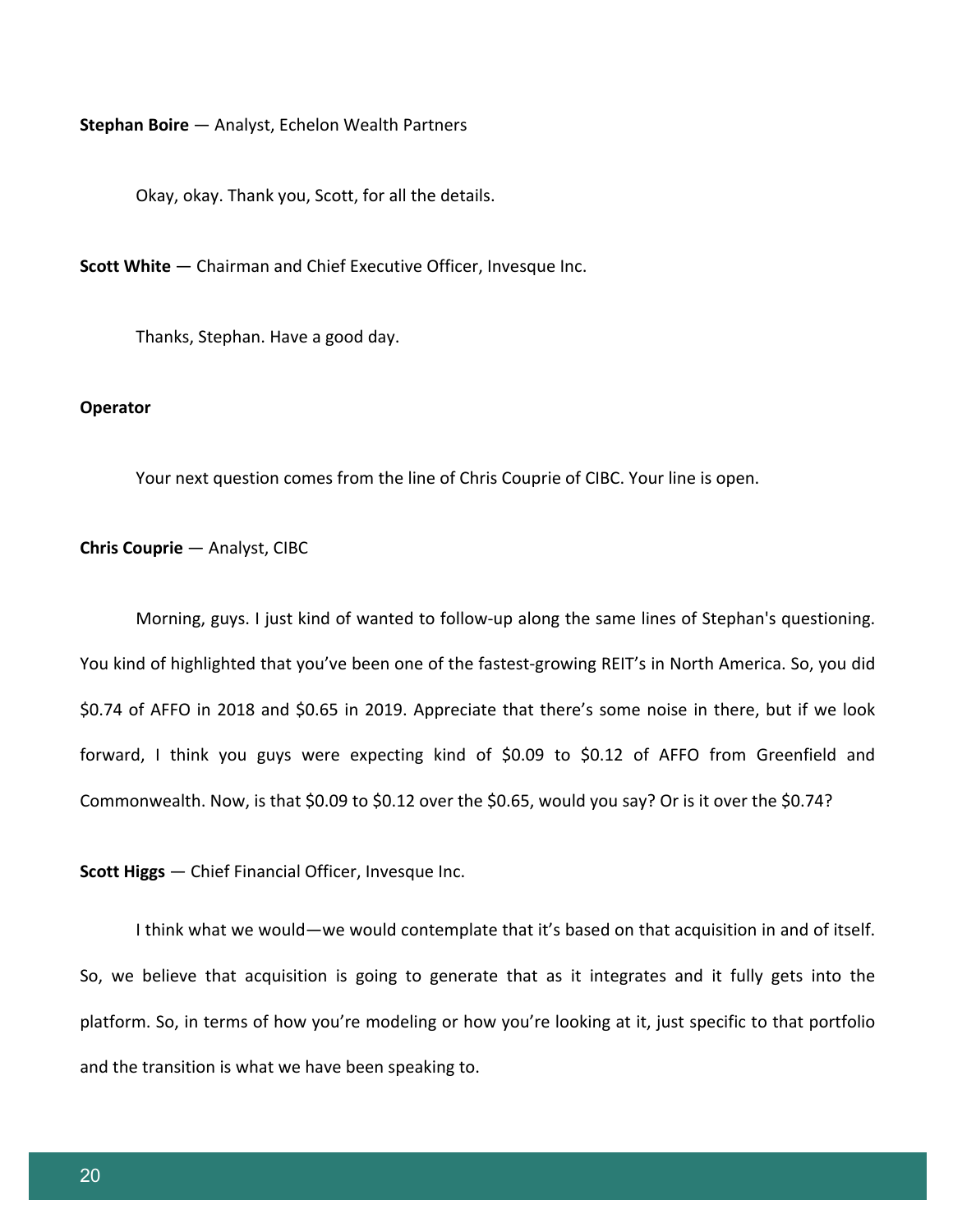**Stephan Boire** — Analyst, Echelon Wealth Partners

Okay, okay. Thank you, Scott, for all the details.

**Scott White** — Chairman and Chief Executive Officer, Invesque Inc.

Thanks, Stephan. Have a good day.

#### **Operator**

Your next question comes from the line of Chris Couprie of CIBC. Your line is open.

#### **Chris Couprie** — Analyst, CIBC

Morning, guys. I just kind of wanted to follow-up along the same lines of Stephan's questioning. You kind of highlighted that you've been one of the fastest-growing REIT's in North America. So, you did \$0.74 of AFFO in 2018 and \$0.65 in 2019. Appreciate that there's some noise in there, but if we look forward, I think you guys were expecting kind of \$0.09 to \$0.12 of AFFO from Greenfield and Commonwealth. Now, is that \$0.09 to \$0.12 over the \$0.65, would you say? Or is it over the \$0.74?

**Scott Higgs** — Chief Financial Officer, Invesque Inc.

I think what we would—we would contemplate that it's based on that acquisition in and of itself. So, we believe that acquisition is going to generate that as it integrates and it fully gets into the platform. So, in terms of how you're modeling or how you're looking at it, just specific to that portfolio and the transition is what we have been speaking to.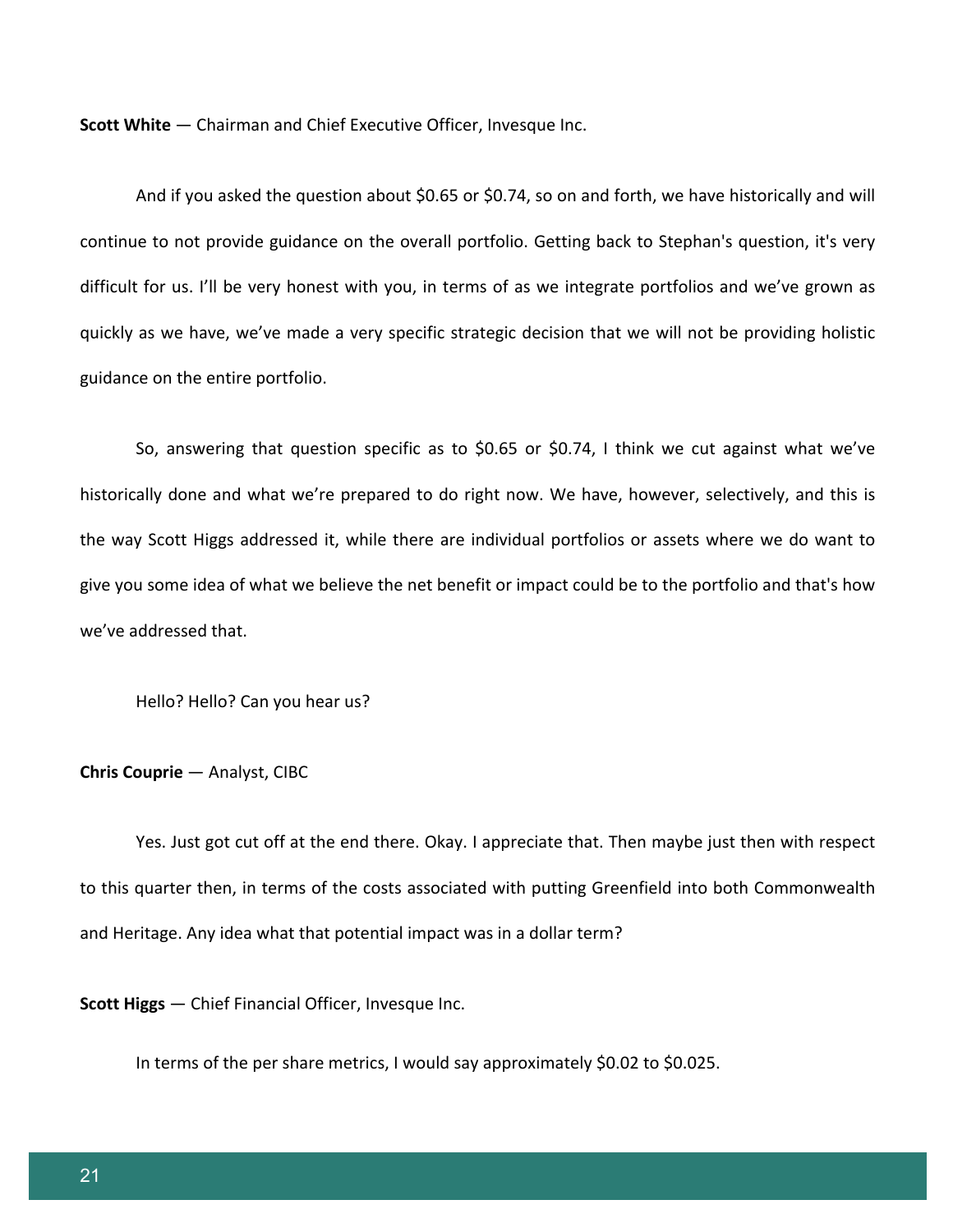**Scott White** — Chairman and Chief Executive Officer, Invesque Inc.

And if you asked the question about \$0.65 or \$0.74, so on and forth, we have historically and will continue to not provide guidance on the overall portfolio. Getting back to Stephan's question, it's very difficult for us. I'll be very honest with you, in terms of as we integrate portfolios and we've grown as quickly as we have, we've made a very specific strategic decision that we will not be providing holistic guidance on the entire portfolio.

So, answering that question specific as to \$0.65 or \$0.74, I think we cut against what we've historically done and what we're prepared to do right now. We have, however, selectively, and this is the way Scott Higgs addressed it, while there are individual portfolios or assets where we do want to give you some idea of what we believe the net benefit or impact could be to the portfolio and that's how we've addressed that.

Hello? Hello? Can you hear us?

#### **Chris Couprie** — Analyst, CIBC

Yes. Just got cut off at the end there. Okay. I appreciate that. Then maybe just then with respect to this quarter then, in terms of the costs associated with putting Greenfield into both Commonwealth and Heritage. Any idea what that potential impact was in a dollar term?

**Scott Higgs** — Chief Financial Officer, Invesque Inc.

In terms of the per share metrics, I would say approximately \$0.02 to \$0.025.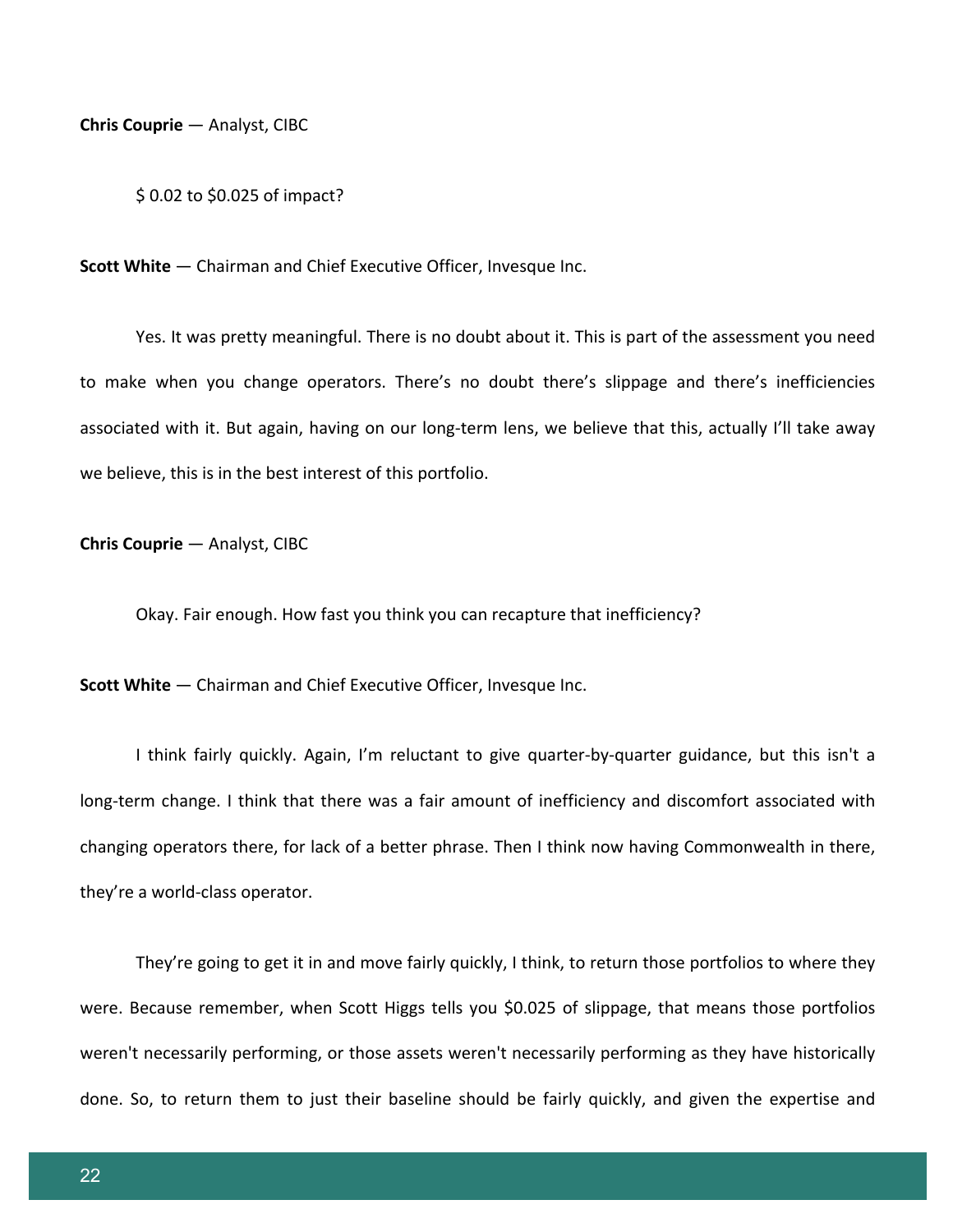**Chris Couprie** — Analyst, CIBC

\$ 0.02 to \$0.025 of impact?

**Scott White** — Chairman and Chief Executive Officer, Invesque Inc.

Yes. It was pretty meaningful. There is no doubt about it. This is part of the assessment you need to make when you change operators. There's no doubt there's slippage and there's inefficiencies associated with it. But again, having on our long-term lens, we believe that this, actually I'll take away we believe, this is in the best interest of this portfolio.

**Chris Couprie** — Analyst, CIBC

Okay. Fair enough. How fast you think you can recapture that inefficiency?

**Scott White** — Chairman and Chief Executive Officer, Invesque Inc.

I think fairly quickly. Again, I'm reluctant to give quarter-by-quarter guidance, but this isn't a long-term change. I think that there was a fair amount of inefficiency and discomfort associated with changing operators there, for lack of a better phrase. Then I think now having Commonwealth in there, they're a world-class operator.

They're going to get it in and move fairly quickly, I think, to return those portfolios to where they were. Because remember, when Scott Higgs tells you \$0.025 of slippage, that means those portfolios weren't necessarily performing, or those assets weren't necessarily performing as they have historically done. So, to return them to just their baseline should be fairly quickly, and given the expertise and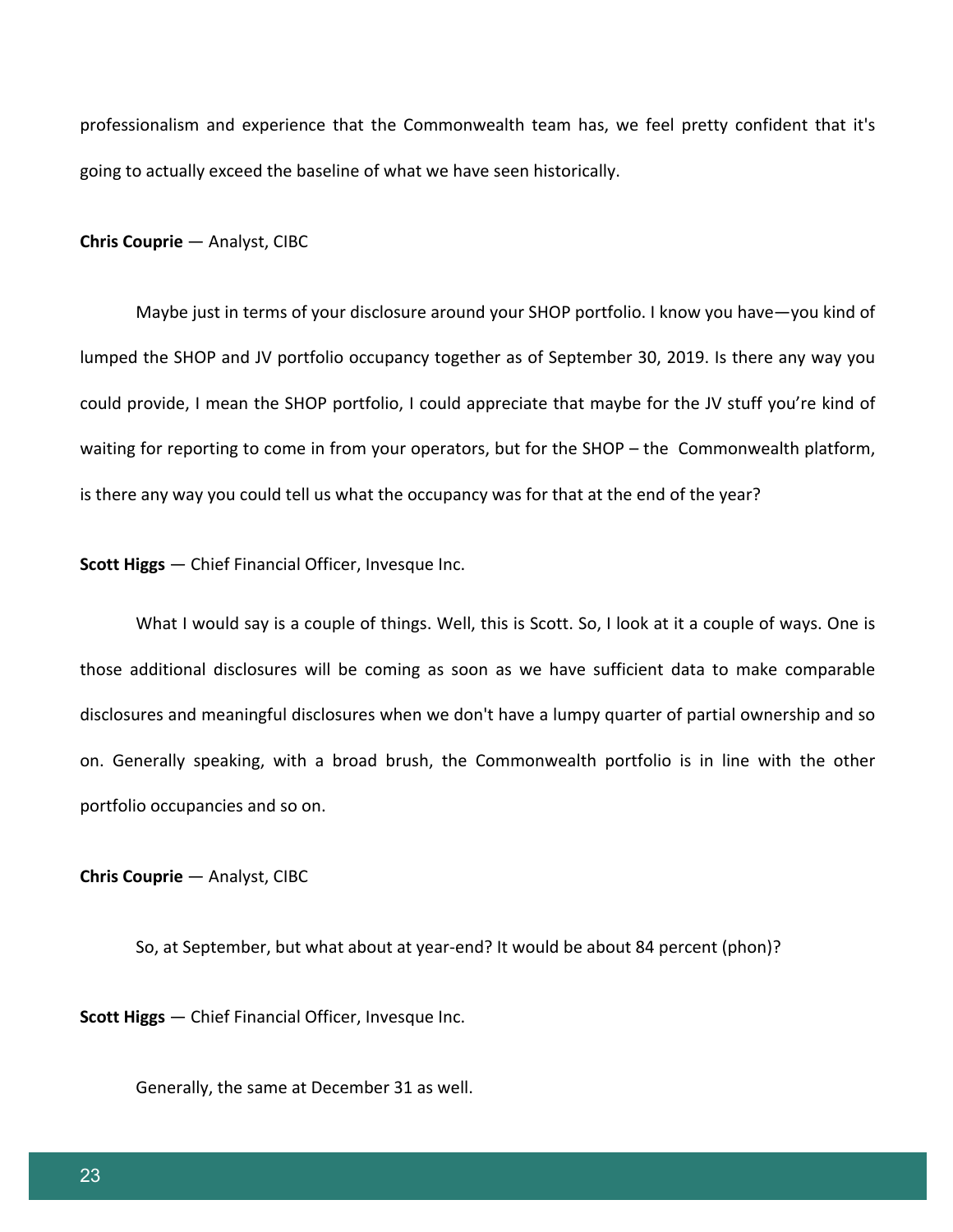professionalism and experience that the Commonwealth team has, we feel pretty confident that it's going to actually exceed the baseline of what we have seen historically.

**Chris Couprie** — Analyst, CIBC

Maybe just in terms of your disclosure around your SHOP portfolio. I know you have—you kind of lumped the SHOP and JV portfolio occupancy together as of September 30, 2019. Is there any way you could provide, I mean the SHOP portfolio, I could appreciate that maybe for the JV stuff you're kind of waiting for reporting to come in from your operators, but for the SHOP – the Commonwealth platform, is there any way you could tell us what the occupancy was for that at the end of the year?

**Scott Higgs** — Chief Financial Officer, Invesque Inc.

What I would say is a couple of things. Well, this is Scott. So, I look at it a couple of ways. One is those additional disclosures will be coming as soon as we have sufficient data to make comparable disclosures and meaningful disclosures when we don't have a lumpy quarter of partial ownership and so on. Generally speaking, with a broad brush, the Commonwealth portfolio is in line with the other portfolio occupancies and so on.

**Chris Couprie** — Analyst, CIBC

So, at September, but what about at year-end? It would be about 84 percent (phon)?

**Scott Higgs** — Chief Financial Officer, Invesque Inc.

Generally, the same at December 31 as well.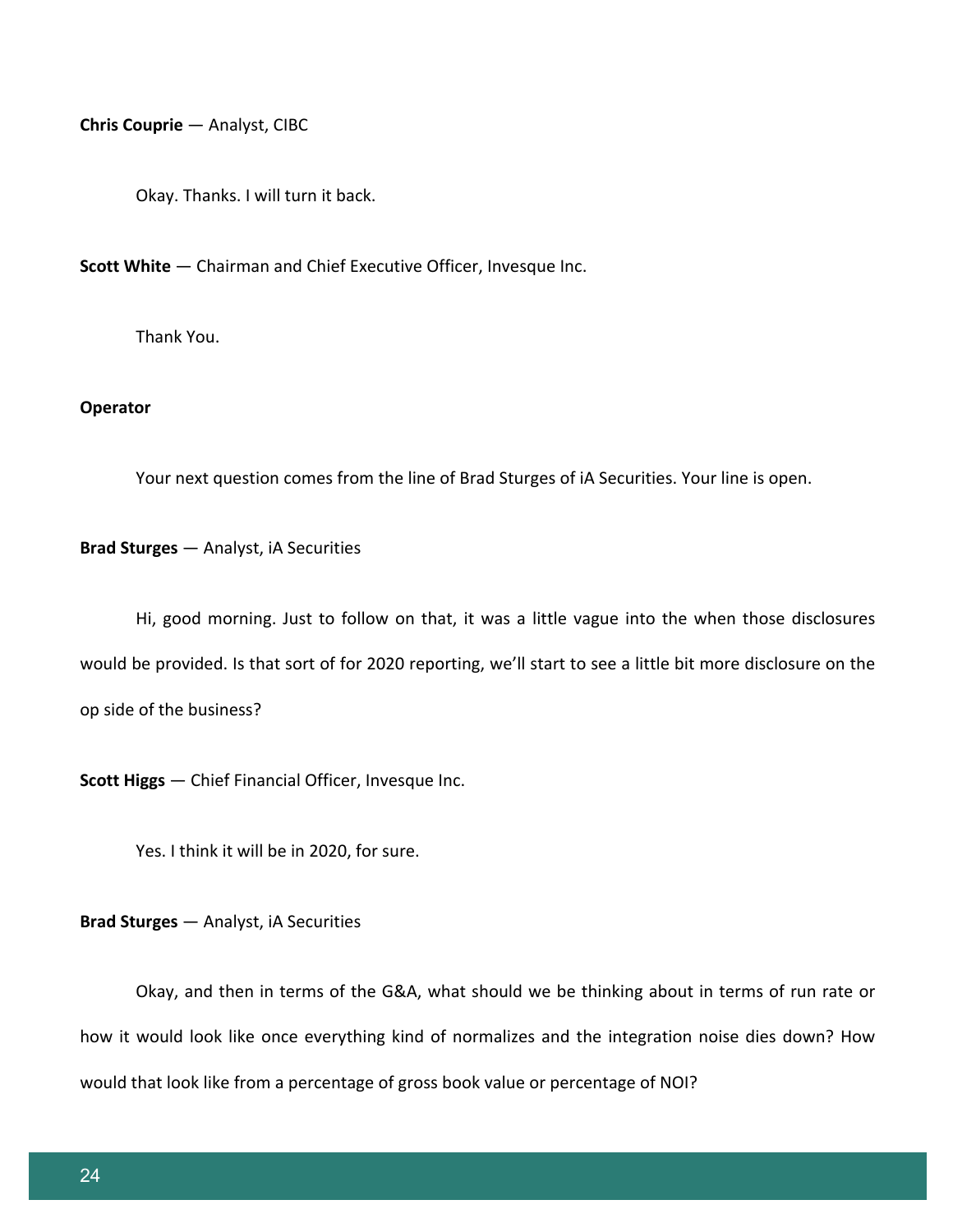**Chris Couprie** — Analyst, CIBC

Okay. Thanks. I will turn it back.

**Scott White** — Chairman and Chief Executive Officer, Invesque Inc.

Thank You.

#### **Operator**

Your next question comes from the line of Brad Sturges of iA Securities. Your line is open.

**Brad Sturges** — Analyst, iA Securities

Hi, good morning. Just to follow on that, it was a little vague into the when those disclosures would be provided. Is that sort of for 2020 reporting, we'll start to see a little bit more disclosure on the op side of the business?

**Scott Higgs** — Chief Financial Officer, Invesque Inc.

Yes. I think it will be in 2020, for sure.

**Brad Sturges** — Analyst, iA Securities

Okay, and then in terms of the G&A, what should we be thinking about in terms of run rate or how it would look like once everything kind of normalizes and the integration noise dies down? How would that look like from a percentage of gross book value or percentage of NOI?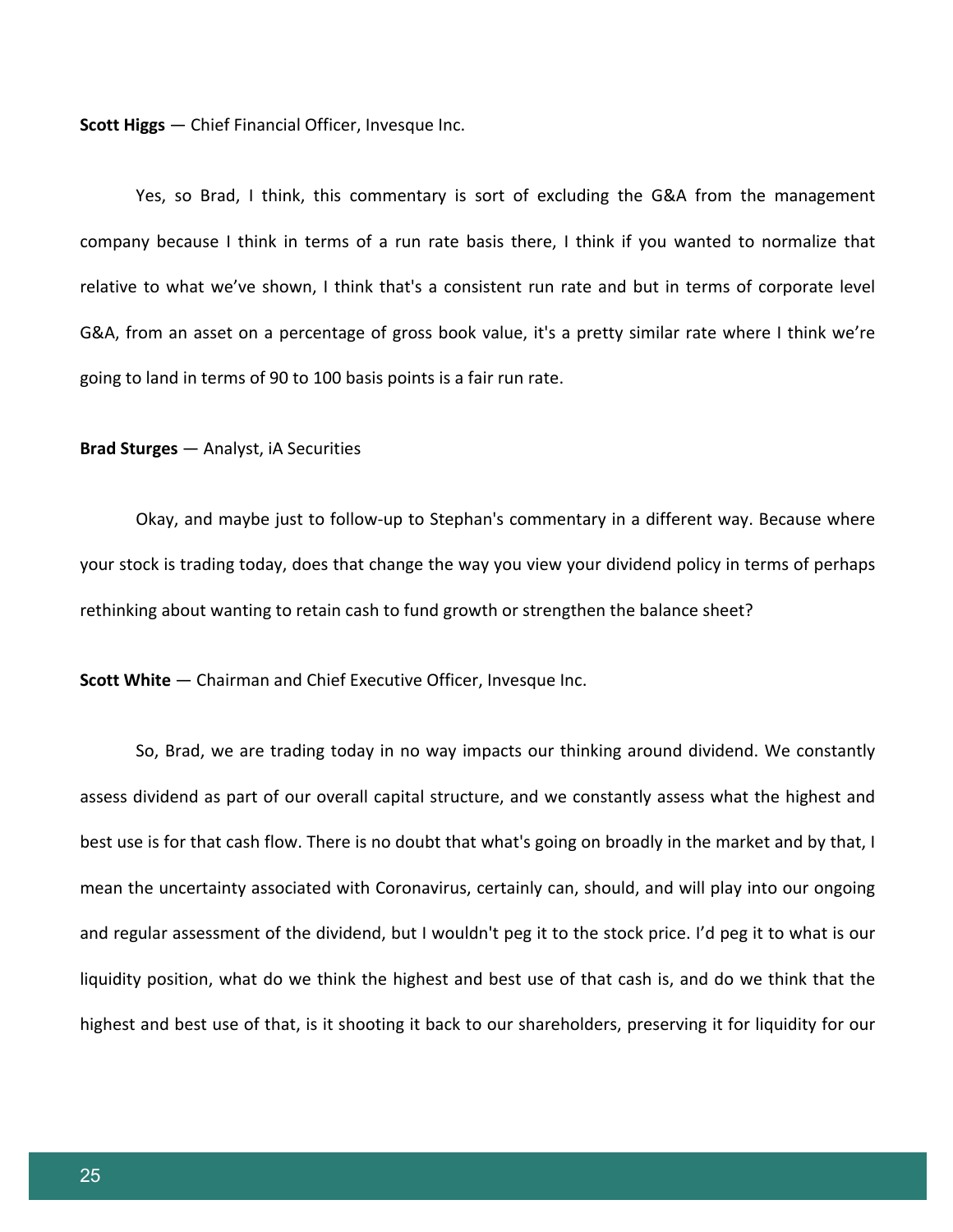**Scott Higgs** — Chief Financial Officer, Invesque Inc.

Yes, so Brad, I think, this commentary is sort of excluding the G&A from the management company because I think in terms of a run rate basis there, I think if you wanted to normalize that relative to what we've shown, I think that's a consistent run rate and but in terms of corporate level G&A, from an asset on a percentage of gross book value, it's a pretty similar rate where I think we're going to land in terms of 90 to 100 basis points is a fair run rate.

#### **Brad Sturges** — Analyst, iA Securities

Okay, and maybe just to follow-up to Stephan's commentary in a different way. Because where your stock is trading today, does that change the way you view your dividend policy in terms of perhaps rethinking about wanting to retain cash to fund growth or strengthen the balance sheet?

**Scott White** — Chairman and Chief Executive Officer, Invesque Inc.

So, Brad, we are trading today in no way impacts our thinking around dividend. We constantly assess dividend as part of our overall capital structure, and we constantly assess what the highest and best use is for that cash flow. There is no doubt that what's going on broadly in the market and by that, I mean the uncertainty associated with Coronavirus, certainly can, should, and will play into our ongoing and regular assessment of the dividend, but I wouldn't peg it to the stock price. I'd peg it to what is our liquidity position, what do we think the highest and best use of that cash is, and do we think that the highest and best use of that, is it shooting it back to our shareholders, preserving it for liquidity for our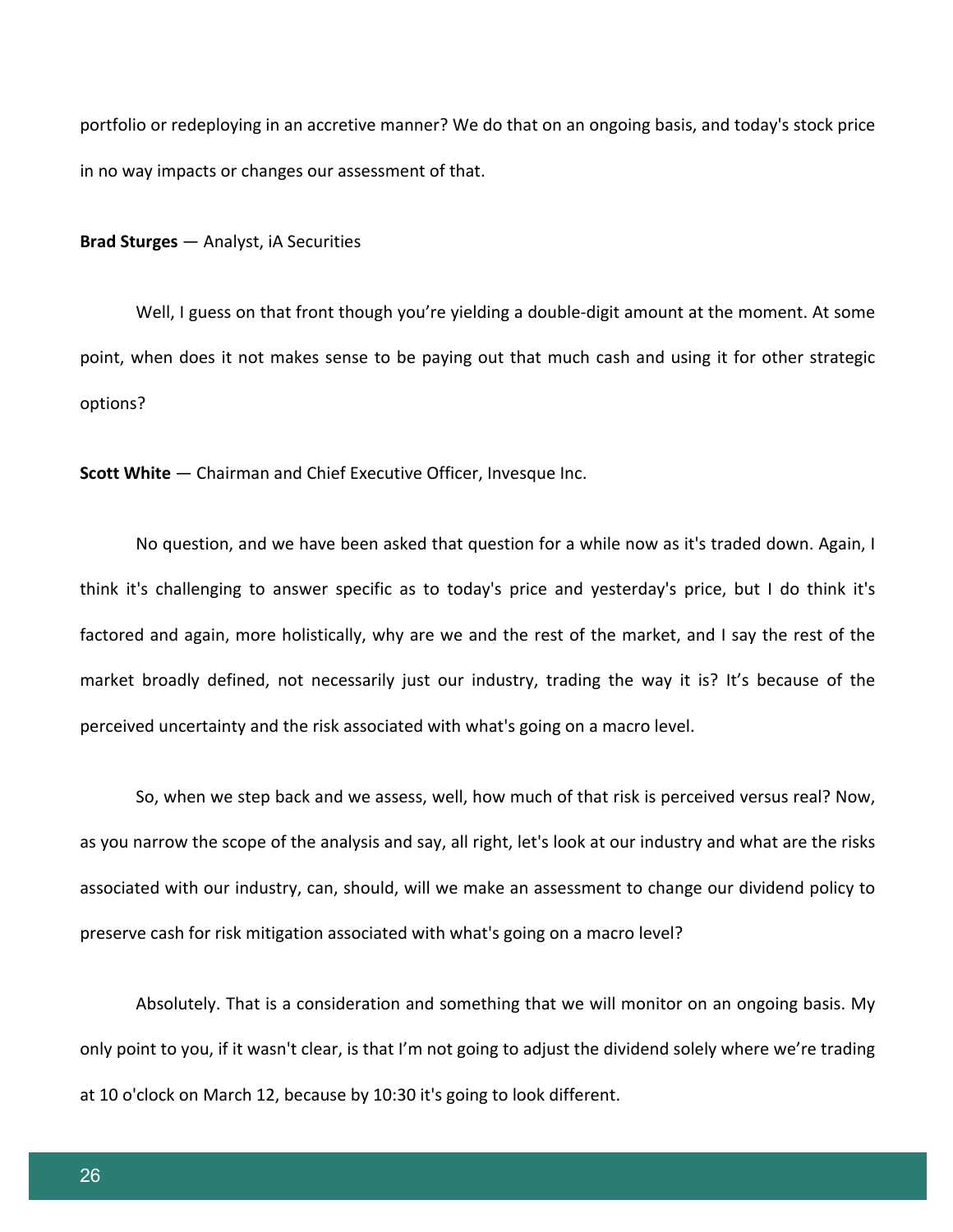portfolio or redeploying in an accretive manner? We do that on an ongoing basis, and today's stock price in no way impacts or changes our assessment of that.

**Brad Sturges** — Analyst, iA Securities

Well, I guess on that front though you're yielding a double-digit amount at the moment. At some point, when does it not makes sense to be paying out that much cash and using it for other strategic options?

**Scott White** — Chairman and Chief Executive Officer, Invesque Inc.

No question, and we have been asked that question for a while now as it's traded down. Again, I think it's challenging to answer specific as to today's price and yesterday's price, but I do think it's factored and again, more holistically, why are we and the rest of the market, and I say the rest of the market broadly defined, not necessarily just our industry, trading the way it is? It's because of the perceived uncertainty and the risk associated with what's going on a macro level.

So, when we step back and we assess, well, how much of that risk is perceived versus real? Now, as you narrow the scope of the analysis and say, all right, let's look at our industry and what are the risks associated with our industry, can, should, will we make an assessment to change our dividend policy to preserve cash for risk mitigation associated with what's going on a macro level?

Absolutely. That is a consideration and something that we will monitor on an ongoing basis. My only point to you, if it wasn't clear, is that I'm not going to adjust the dividend solely where we're trading at 10 o'clock on March 12, because by 10:30 it's going to look different.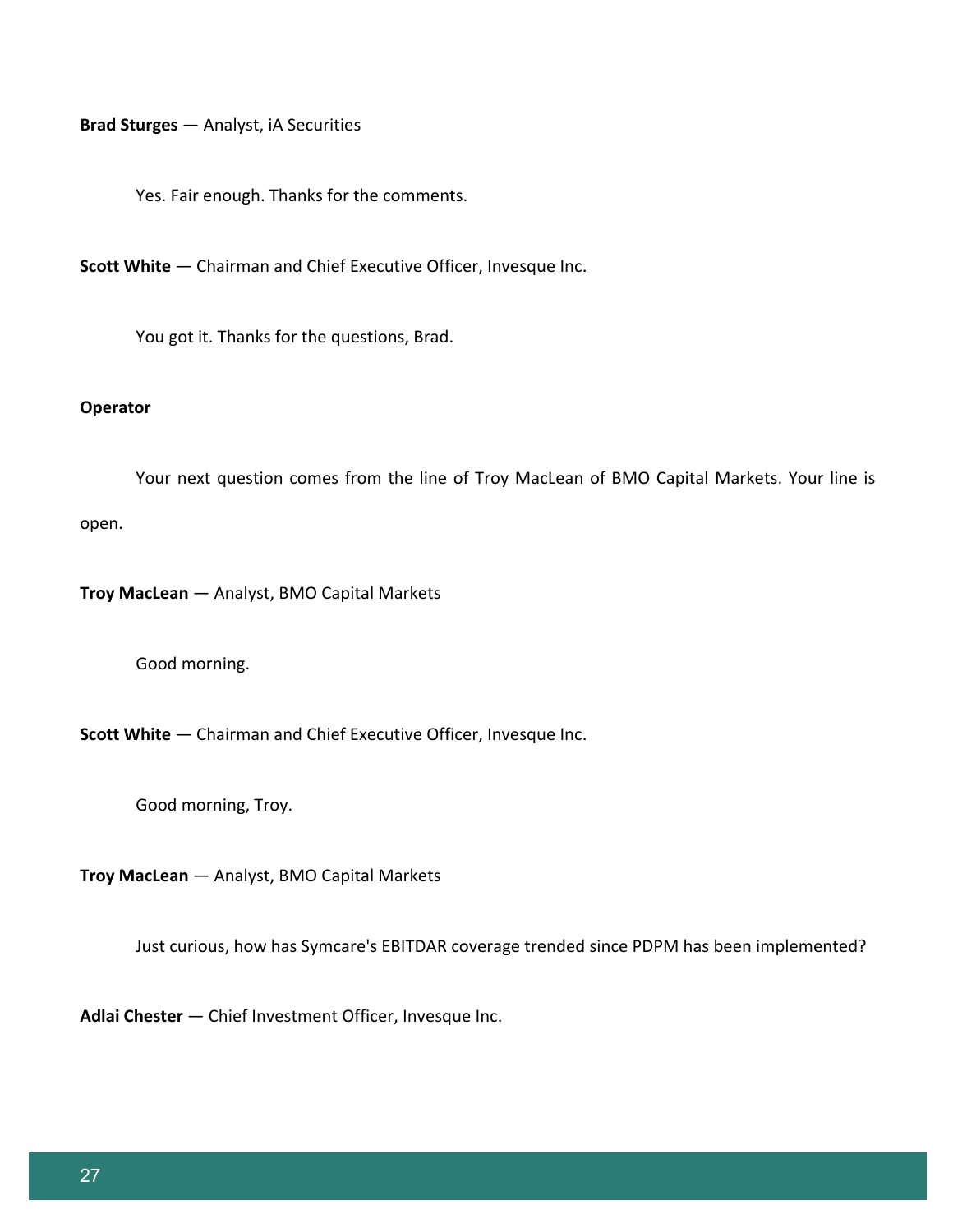**Brad Sturges** — Analyst, iA Securities

Yes. Fair enough. Thanks for the comments.

**Scott White** — Chairman and Chief Executive Officer, Invesque Inc.

You got it. Thanks for the questions, Brad.

### **Operator**

Your next question comes from the line of Troy MacLean of BMO Capital Markets. Your line is open.

**Troy MacLean** — Analyst, BMO Capital Markets

Good morning.

**Scott White** — Chairman and Chief Executive Officer, Invesque Inc.

Good morning, Troy.

**Troy MacLean** — Analyst, BMO Capital Markets

Just curious, how has Symcare's EBITDAR coverage trended since PDPM has been implemented?

**Adlai Chester** — Chief Investment Officer, Invesque Inc.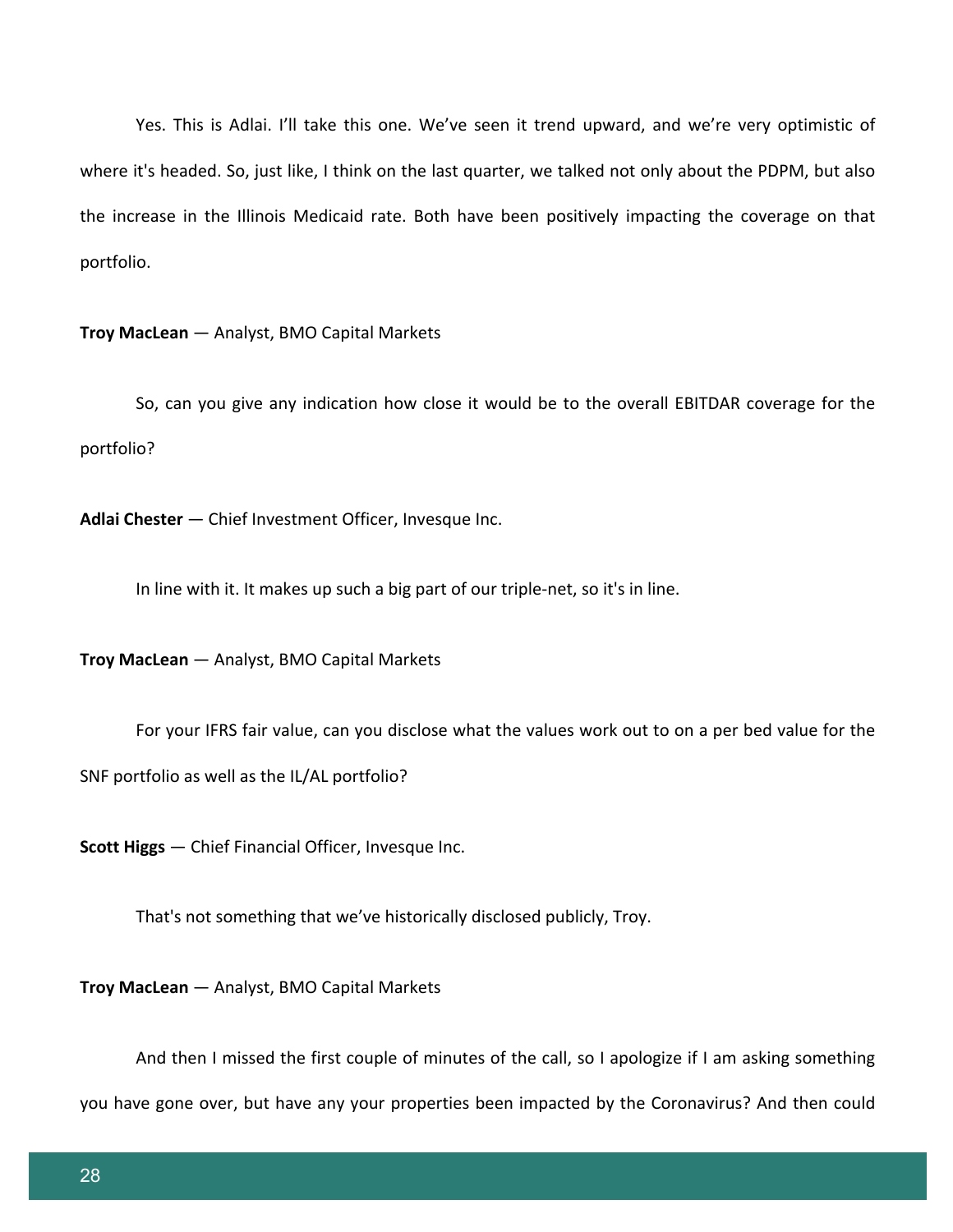Yes. This is Adlai. I'll take this one. We've seen it trend upward, and we're very optimistic of where it's headed. So, just like, I think on the last quarter, we talked not only about the PDPM, but also the increase in the Illinois Medicaid rate. Both have been positively impacting the coverage on that portfolio.

**Troy MacLean** — Analyst, BMO Capital Markets

So, can you give any indication how close it would be to the overall EBITDAR coverage for the portfolio?

**Adlai Chester** — Chief Investment Officer, Invesque Inc.

In line with it. It makes up such a big part of our triple-net, so it's in line.

**Troy MacLean** — Analyst, BMO Capital Markets

For your IFRS fair value, can you disclose what the values work out to on a per bed value for the

SNF portfolio as well as the IL/AL portfolio?

**Scott Higgs** — Chief Financial Officer, Invesque Inc.

That's not something that we've historically disclosed publicly, Troy.

**Troy MacLean** — Analyst, BMO Capital Markets

And then I missed the first couple of minutes of the call, so I apologize if I am asking something you have gone over, but have any your properties been impacted by the Coronavirus? And then could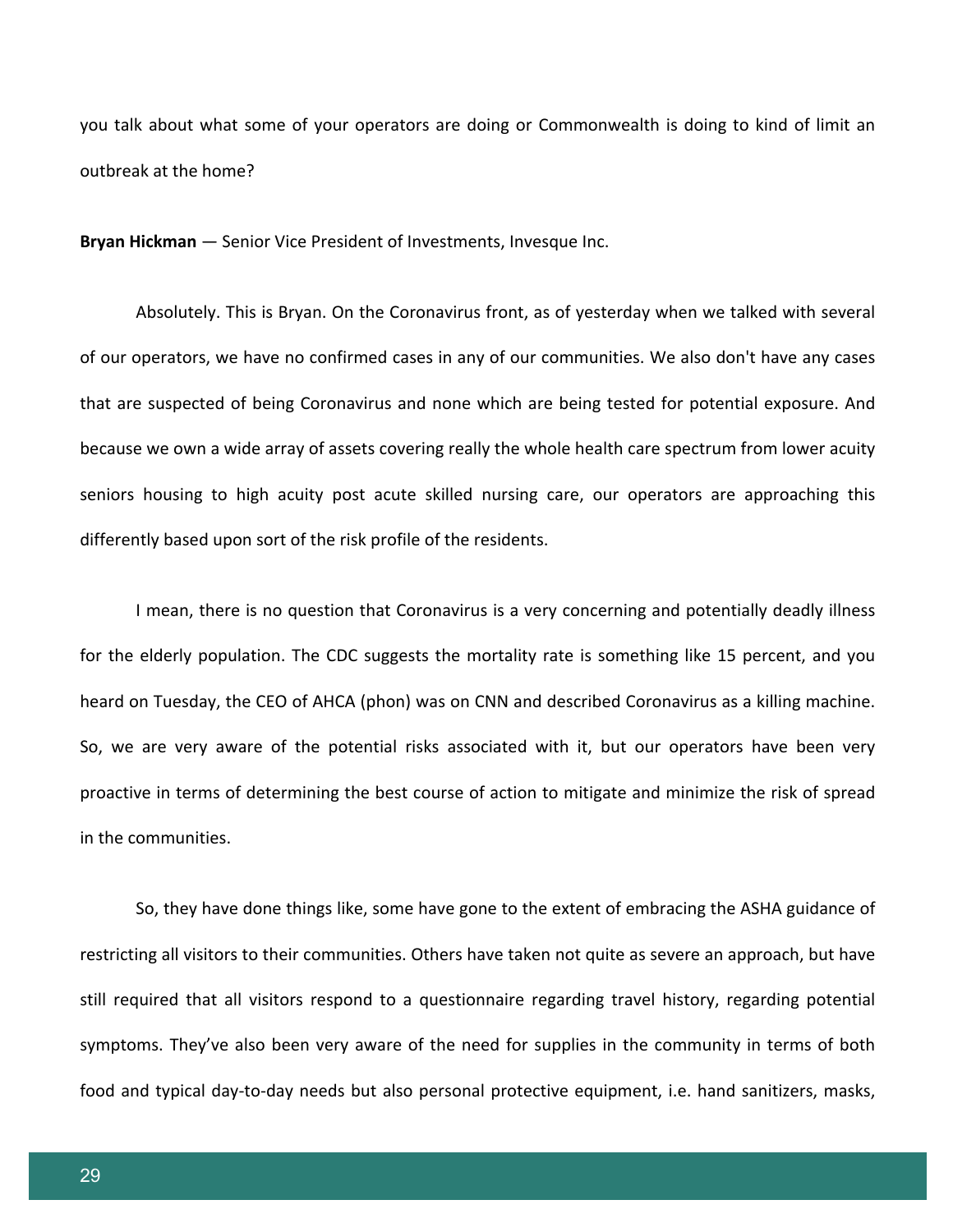you talk about what some of your operators are doing or Commonwealth is doing to kind of limit an outbreak at the home?

**Bryan Hickman** — Senior Vice President of Investments, Invesque Inc.

Absolutely. This is Bryan. On the Coronavirus front, as of yesterday when we talked with several of our operators, we have no confirmed cases in any of our communities. We also don't have any cases that are suspected of being Coronavirus and none which are being tested for potential exposure. And because we own a wide array of assets covering really the whole health care spectrum from lower acuity seniors housing to high acuity post acute skilled nursing care, our operators are approaching this differently based upon sort of the risk profile of the residents.

I mean, there is no question that Coronavirus is a very concerning and potentially deadly illness for the elderly population. The CDC suggests the mortality rate is something like 15 percent, and you heard on Tuesday, the CEO of AHCA (phon) was on CNN and described Coronavirus as a killing machine. So, we are very aware of the potential risks associated with it, but our operators have been very proactive in terms of determining the best course of action to mitigate and minimize the risk of spread in the communities.

So, they have done things like, some have gone to the extent of embracing the ASHA guidance of restricting all visitors to their communities. Others have taken not quite as severe an approach, but have still required that all visitors respond to a questionnaire regarding travel history, regarding potential symptoms. They've also been very aware of the need for supplies in the community in terms of both food and typical day-to-day needs but also personal protective equipment, i.e. hand sanitizers, masks,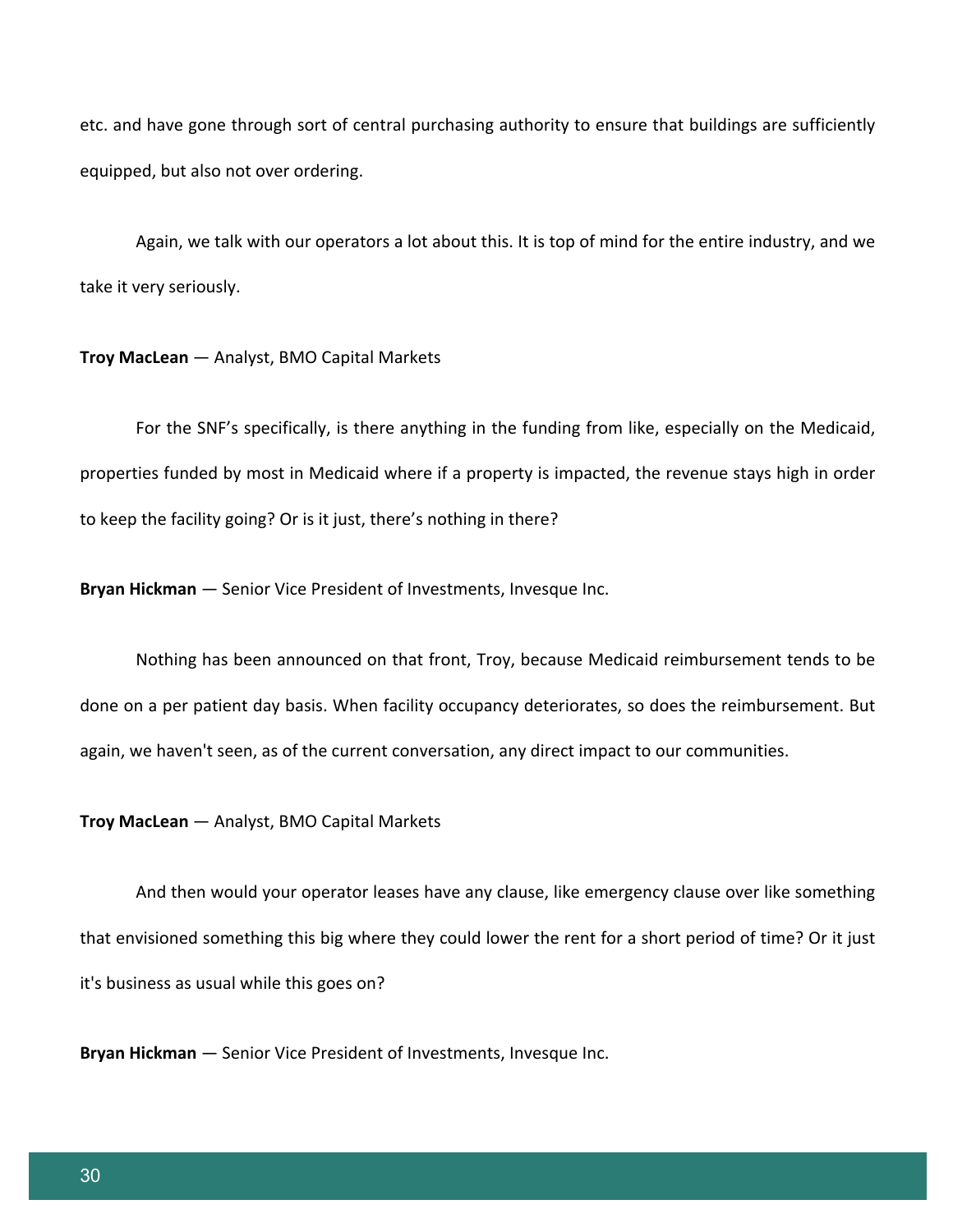etc. and have gone through sort of central purchasing authority to ensure that buildings are sufficiently equipped, but also not over ordering.

Again, we talk with our operators a lot about this. It is top of mind for the entire industry, and we take it very seriously.

### **Troy MacLean** — Analyst, BMO Capital Markets

For the SNF's specifically, is there anything in the funding from like, especially on the Medicaid, properties funded by most in Medicaid where if a property is impacted, the revenue stays high in order to keep the facility going? Or is it just, there's nothing in there?

**Bryan Hickman** — Senior Vice President of Investments, Invesque Inc.

Nothing has been announced on that front, Troy, because Medicaid reimbursement tends to be done on a per patient day basis. When facility occupancy deteriorates, so does the reimbursement. But again, we haven't seen, as of the current conversation, any direct impact to our communities.

**Troy MacLean** — Analyst, BMO Capital Markets

And then would your operator leases have any clause, like emergency clause over like something that envisioned something this big where they could lower the rent for a short period of time? Or it just it's business as usual while this goes on?

**Bryan Hickman** — Senior Vice President of Investments, Invesque Inc.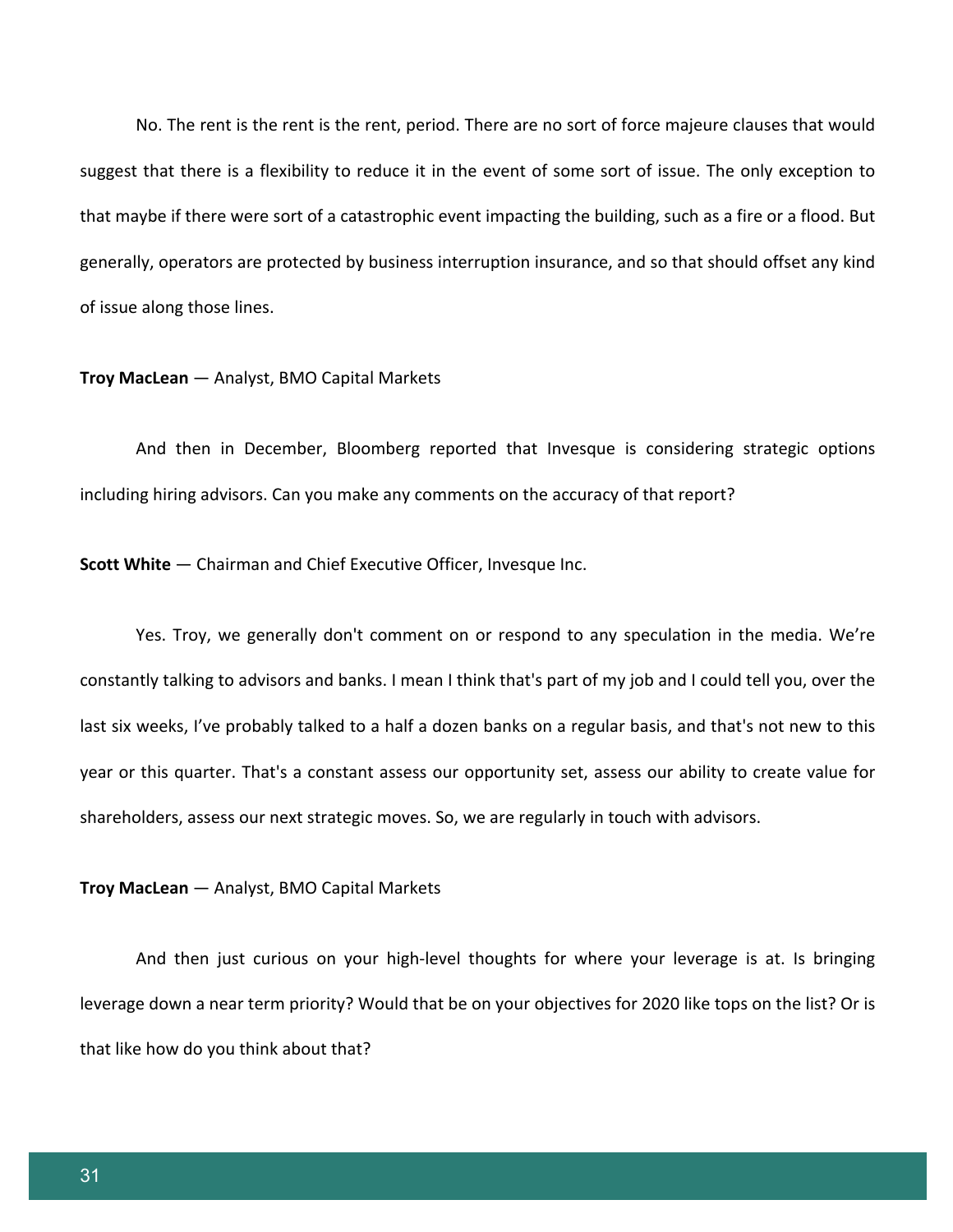No. The rent is the rent is the rent, period. There are no sort of force majeure clauses that would suggest that there is a flexibility to reduce it in the event of some sort of issue. The only exception to that maybe if there were sort of a catastrophic event impacting the building, such as a fire or a flood. But generally, operators are protected by business interruption insurance, and so that should offset any kind of issue along those lines.

#### **Troy MacLean** — Analyst, BMO Capital Markets

And then in December, Bloomberg reported that Invesque is considering strategic options including hiring advisors. Can you make any comments on the accuracy of that report?

**Scott White** — Chairman and Chief Executive Officer, Invesque Inc.

Yes. Troy, we generally don't comment on or respond to any speculation in the media. We're constantly talking to advisors and banks. I mean I think that's part of my job and I could tell you, over the last six weeks, I've probably talked to a half a dozen banks on a regular basis, and that's not new to this year or this quarter. That's a constant assess our opportunity set, assess our ability to create value for shareholders, assess our next strategic moves. So, we are regularly in touch with advisors.

#### **Troy MacLean** — Analyst, BMO Capital Markets

And then just curious on your high-level thoughts for where your leverage is at. Is bringing leverage down a near term priority? Would that be on your objectives for 2020 like tops on the list? Or is that like how do you think about that?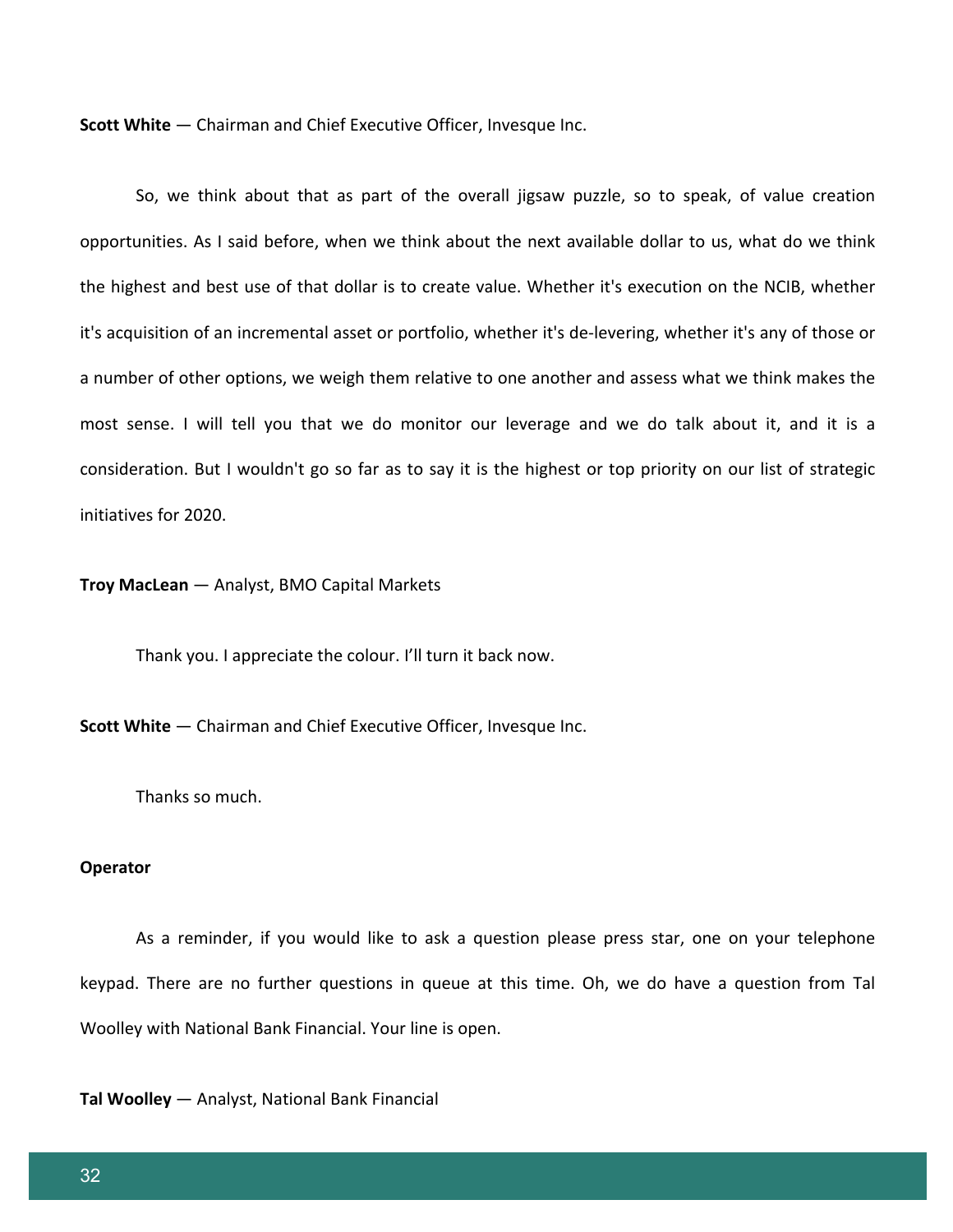**Scott White** — Chairman and Chief Executive Officer, Invesque Inc.

So, we think about that as part of the overall jigsaw puzzle, so to speak, of value creation opportunities. As I said before, when we think about the next available dollar to us, what do we think the highest and best use of that dollar is to create value. Whether it's execution on the NCIB, whether it's acquisition of an incremental asset or portfolio, whether it's de-levering, whether it's any of those or a number of other options, we weigh them relative to one another and assess what we think makes the most sense. I will tell you that we do monitor our leverage and we do talk about it, and it is a consideration. But I wouldn't go so far as to say it is the highest or top priority on our list of strategic initiatives for 2020.

#### **Troy MacLean** — Analyst, BMO Capital Markets

Thank you. I appreciate the colour. I'll turn it back now.

**Scott White** — Chairman and Chief Executive Officer, Invesque Inc.

Thanks so much.

#### **Operator**

As a reminder, if you would like to ask a question please press star, one on your telephone keypad. There are no further questions in queue at this time. Oh, we do have a question from Tal Woolley with National Bank Financial. Your line is open.

**Tal Woolley** — Analyst, National Bank Financial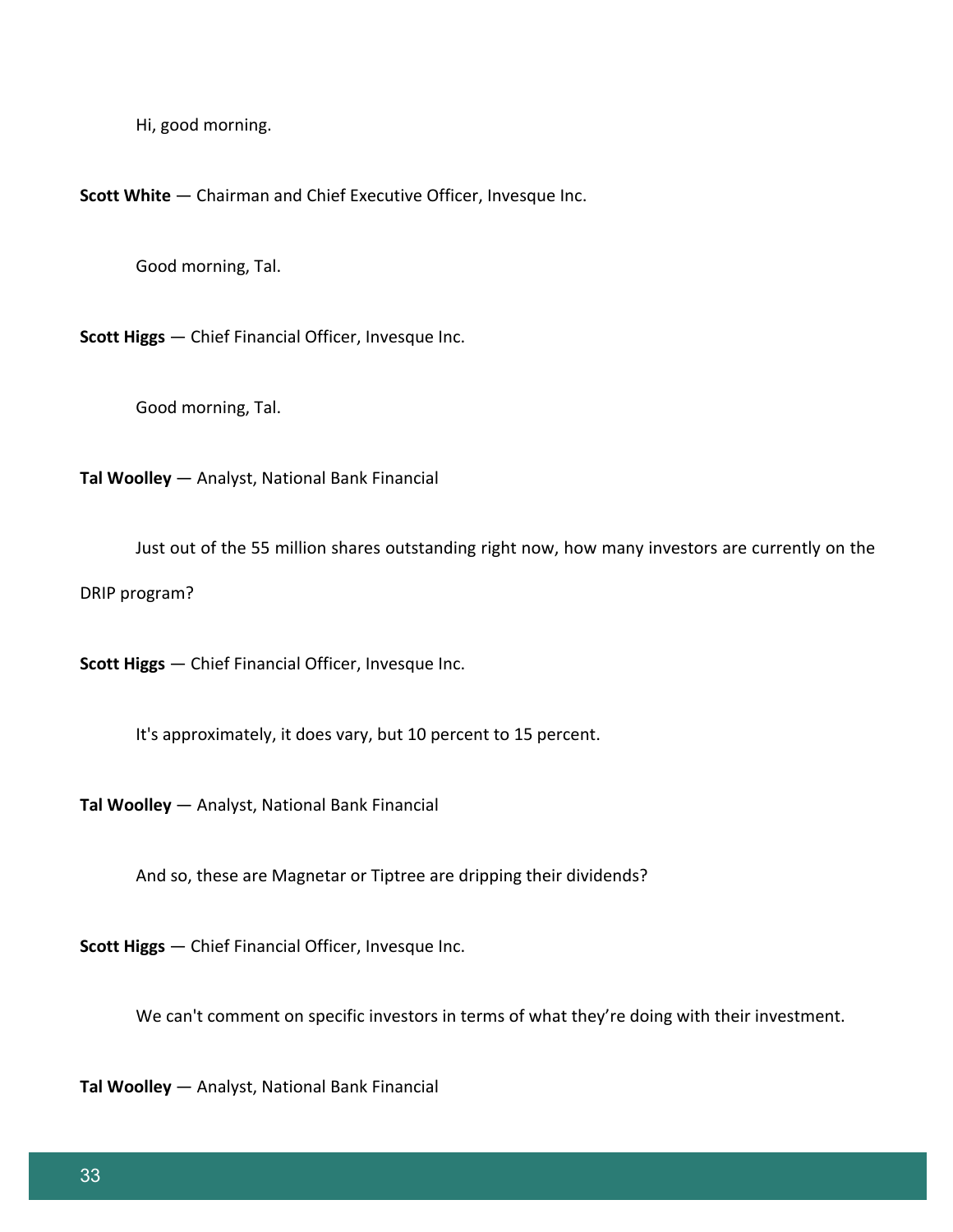Hi, good morning.

**Scott White** — Chairman and Chief Executive Officer, Invesque Inc.

Good morning, Tal.

**Scott Higgs** — Chief Financial Officer, Invesque Inc.

Good morning, Tal.

**Tal Woolley** — Analyst, National Bank Financial

Just out of the 55 million shares outstanding right now, how many investors are currently on the DRIP program?

**Scott Higgs** — Chief Financial Officer, Invesque Inc.

It's approximately, it does vary, but 10 percent to 15 percent.

**Tal Woolley** — Analyst, National Bank Financial

And so, these are Magnetar or Tiptree are dripping their dividends?

**Scott Higgs** — Chief Financial Officer, Invesque Inc.

We can't comment on specific investors in terms of what they're doing with their investment.

**Tal Woolley** — Analyst, National Bank Financial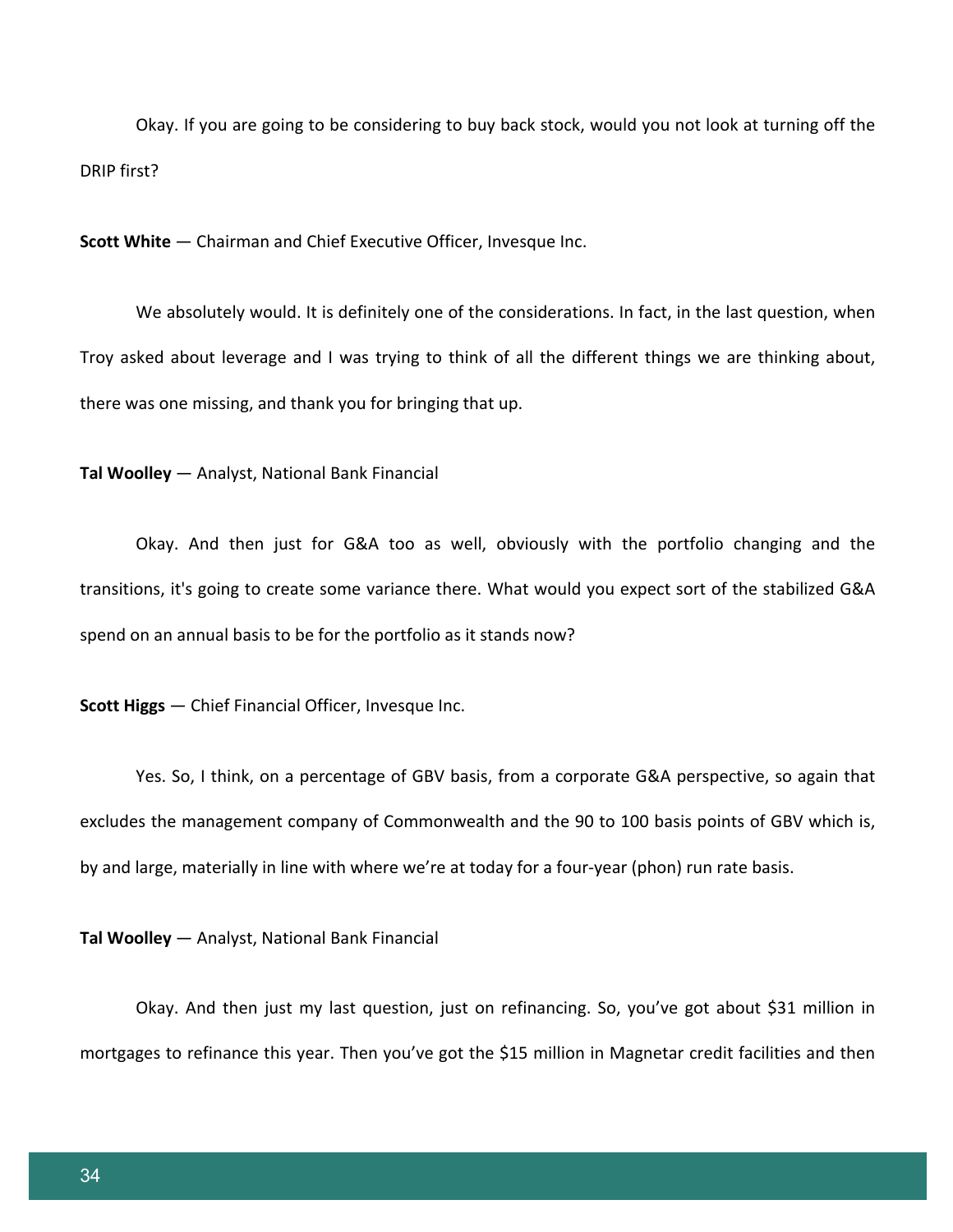Okay. If you are going to be considering to buy back stock, would you not look at turning off the DRIP first?

**Scott White** — Chairman and Chief Executive Officer, Invesque Inc.

We absolutely would. It is definitely one of the considerations. In fact, in the last question, when Troy asked about leverage and I was trying to think of all the different things we are thinking about, there was one missing, and thank you for bringing that up.

**Tal Woolley** — Analyst, National Bank Financial

Okay. And then just for G&A too as well, obviously with the portfolio changing and the transitions, it's going to create some variance there. What would you expect sort of the stabilized G&A spend on an annual basis to be for the portfolio as it stands now?

**Scott Higgs** — Chief Financial Officer, Invesque Inc.

Yes. So, I think, on a percentage of GBV basis, from a corporate G&A perspective, so again that excludes the management company of Commonwealth and the 90 to 100 basis points of GBV which is, by and large, materially in line with where we're at today for a four-year (phon) run rate basis.

**Tal Woolley** — Analyst, National Bank Financial

Okay. And then just my last question, just on refinancing. So, you've got about \$31 million in mortgages to refinance this year. Then you've got the \$15 million in Magnetar credit facilities and then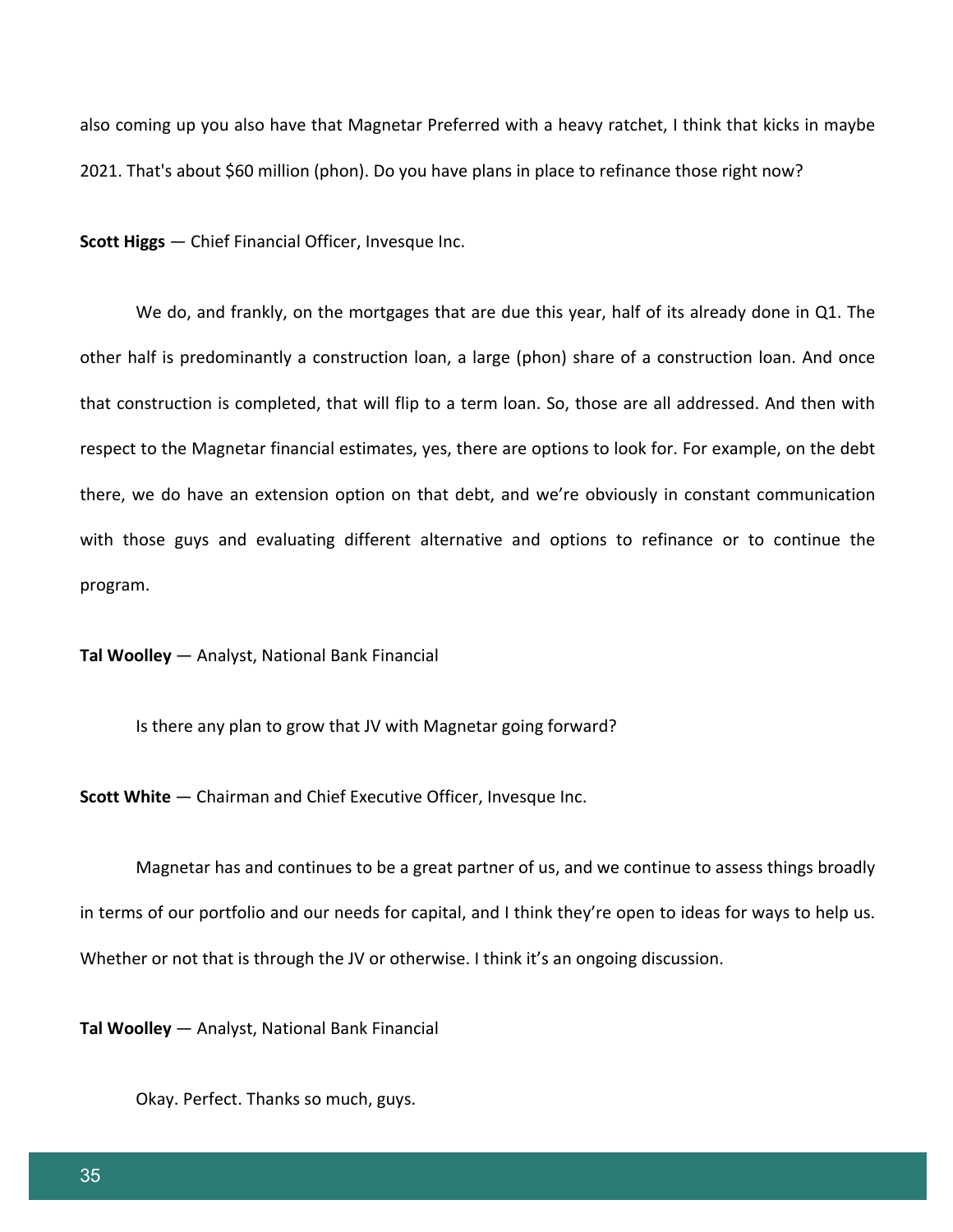also coming up you also have that Magnetar Preferred with a heavy ratchet, I think that kicks in maybe 2021. That's about \$60 million (phon). Do you have plans in place to refinance those right now?

**Scott Higgs** — Chief Financial Officer, Invesque Inc.

We do, and frankly, on the mortgages that are due this year, half of its already done in Q1. The other half is predominantly a construction loan, a large (phon) share of a construction loan. And once that construction is completed, that will flip to a term loan. So, those are all addressed. And then with respect to the Magnetar financial estimates, yes, there are options to look for. For example, on the debt there, we do have an extension option on that debt, and we're obviously in constant communication with those guys and evaluating different alternative and options to refinance or to continue the program.

**Tal Woolley** — Analyst, National Bank Financial

Is there any plan to grow that JV with Magnetar going forward?

**Scott White** — Chairman and Chief Executive Officer, Invesque Inc.

Magnetar has and continues to be a great partner of us, and we continue to assess things broadly in terms of our portfolio and our needs for capital, and I think they're open to ideas for ways to help us. Whether or not that is through the JV or otherwise. I think it's an ongoing discussion.

**Tal Woolley** — Analyst, National Bank Financial

Okay. Perfect. Thanks so much, guys.